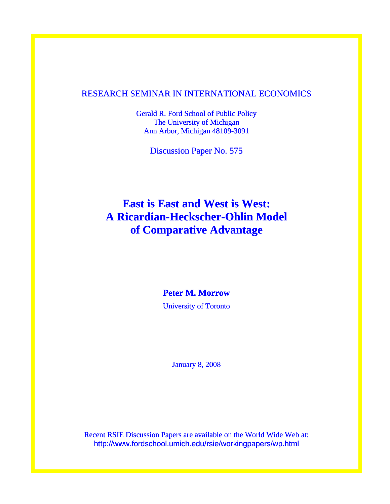# RESEARCH SEMINAR IN INTERNATIONAL ECONOMICS

Gerald R. Ford School of Public Policy The University of Michigan Ann Arbor, Michigan 48109-3091

Discussion Paper No. 575

# **East is East and West is West: A Ricardian-Heckscher-Ohlin Model of Comparative Advantage**

### **Peter M. Morrow**

University of Toronto

January 8, 2008

Recent RSIE Discussion Papers are available on the World Wide Web at: http://www.fordschool.umich.edu/rsie/workingpapers/wp.html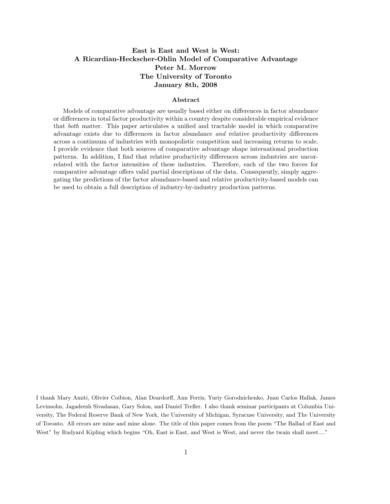### East is East and West is West: A Ricardian-Heckscher-Ohlin Model of Comparative Advantage Peter M. Morrow The University of Toronto January 8th, 2008

#### Abstract

Models of comparative advantage are usually based either on differences in factor abundance or differences in total factor productivity within a country despite considerable empirical evidence that both matter. This paper articulates a unified and tractable model in which comparative advantage exists due to differences in factor abundance and relative productivity differences across a continuum of industries with monopolistic competition and increasing returns to scale. I provide evidence that both sources of comparative advantage shape international production patterns. In addition, I find that relative productivity differences across industries are uncorrelated with the factor intensities of these industries. Therefore, each of the two forces for comparative advantage offers valid partial descriptions of the data. Consequently, simply aggregating the predictions of the factor abundance-based and relative productivity-based models can be used to obtain a full description of industry-by-industry production patterns.

I thank Mary Amiti, Olivier Coibion, Alan Deardorff, Ann Ferris, Yuriy Gorodnichenko, Juan Carlos Hallak, James Levinsohn, Jagadeesh Sivadasan, Gary Solon, and Daniel Trefler. I also thank seminar participants at Columbia University, The Federal Reserve Bank of New York, the University of Michigan, Syracuse University, and The University of Toronto. All errors are mine and mine alone. The title of this paper comes from the poem "The Ballad of East and West" by Rudyard Kipling which begins "Oh, East is East, and West is West, and never the twain shall meet...."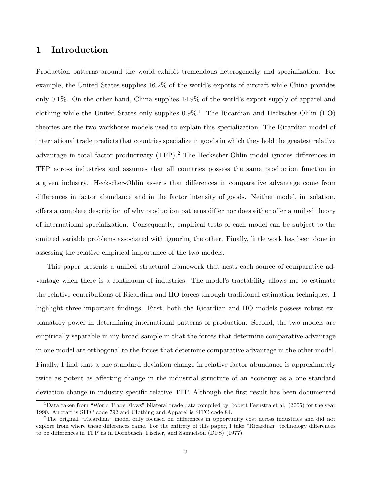### 1 Introduction

Production patterns around the world exhibit tremendous heterogeneity and specialization. For example, the United States supplies 16.2% of the world's exports of aircraft while China provides only 0.1%. On the other hand, China supplies 14.9% of the world's export supply of apparel and clothing while the United States only supplies  $0.9\%$ <sup>1</sup>. The Ricardian and Heckscher-Ohlin (HO) theories are the two workhorse models used to explain this specialization. The Ricardian model of international trade predicts that countries specialize in goods in which they hold the greatest relative advantage in total factor productivity (TFP).<sup>2</sup> The Heckscher-Ohlin model ignores differences in TFP across industries and assumes that all countries possess the same production function in a given industry. Heckscher-Ohlin asserts that differences in comparative advantage come from differences in factor abundance and in the factor intensity of goods. Neither model, in isolation, offers a complete description of why production patterns differ nor does either offer a unified theory of international specialization. Consequently, empirical tests of each model can be subject to the omitted variable problems associated with ignoring the other. Finally, little work has been done in assessing the relative empirical importance of the two models.

This paper presents a unified structural framework that nests each source of comparative advantage when there is a continuum of industries. The model's tractability allows me to estimate the relative contributions of Ricardian and HO forces through traditional estimation techniques. I highlight three important findings. First, both the Ricardian and HO models possess robust explanatory power in determining international patterns of production. Second, the two models are empirically separable in my broad sample in that the forces that determine comparative advantage in one model are orthogonal to the forces that determine comparative advantage in the other model. Finally, I find that a one standard deviation change in relative factor abundance is approximately twice as potent as affecting change in the industrial structure of an economy as a one standard deviation change in industry-specific relative TFP. Although the first result has been documented

<sup>&</sup>lt;sup>1</sup>Data taken from "World Trade Flows" bilateral trade data compiled by Robert Feenstra et al. (2005) for the year 1990. Aircraft is SITC code 792 and Clothing and Apparel is SITC code 84.

<sup>2</sup>The original "Ricardian" model only focused on differences in opportunity cost across industries and did not explore from where these differences came. For the entirety of this paper, I take "Ricardian" technology differences to be differences in TFP as in Dornbusch, Fischer, and Samuelson (DFS) (1977).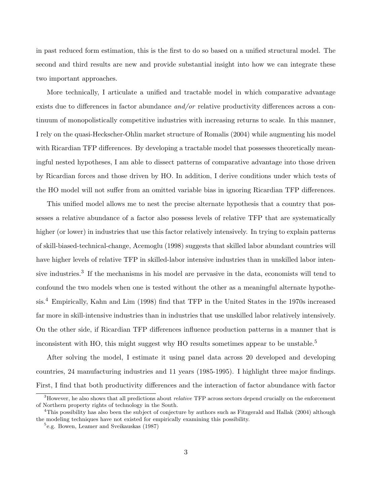in past reduced form estimation, this is the first to do so based on a unified structural model. The second and third results are new and provide substantial insight into how we can integrate these two important approaches.

More technically, I articulate a unified and tractable model in which comparative advantage exists due to differences in factor abundance *and/or* relative productivity differences across a continuum of monopolistically competitive industries with increasing returns to scale. In this manner, I rely on the quasi-Heckscher-Ohlin market structure of Romalis (2004) while augmenting his model with Ricardian TFP differences. By developing a tractable model that possesses theoretically meaningful nested hypotheses, I am able to dissect patterns of comparative advantage into those driven by Ricardian forces and those driven by HO. In addition, I derive conditions under which tests of the HO model will not suffer from an omitted variable bias in ignoring Ricardian TFP differences.

This unified model allows me to nest the precise alternate hypothesis that a country that possesses a relative abundance of a factor also possess levels of relative TFP that are systematically higher (or lower) in industries that use this factor relatively intensively. In trying to explain patterns of skill-biased-technical-change, Acemoglu (1998) suggests that skilled labor abundant countries will have higher levels of relative TFP in skilled-labor intensive industries than in unskilled labor intensive industries.<sup>3</sup> If the mechanisms in his model are pervasive in the data, economists will tend to confound the two models when one is tested without the other as a meaningful alternate hypothesis.<sup>4</sup> Empirically, Kahn and Lim (1998) find that TFP in the United States in the 1970s increased far more in skill-intensive industries than in industries that use unskilled labor relatively intensively. On the other side, if Ricardian TFP differences influence production patterns in a manner that is inconsistent with HO, this might suggest why HO results sometimes appear to be unstable.<sup>5</sup>

After solving the model, I estimate it using panel data across 20 developed and developing countries, 24 manufacturing industries and 11 years (1985-1995). I highlight three major findings. First, I find that both productivity differences and the interaction of factor abundance with factor

 $3However$ , he also shows that all predictions about *relative* TFP across sectors depend crucially on the enforcement of Northern property rights of technology in the South.

<sup>&</sup>lt;sup>4</sup>This possibility has also been the subject of conjecture by authors such as Fitzgerald and Hallak (2004) although the modeling techniques have not existed for empirically examining this possibility.

<sup>5</sup> e.g. Bowen, Leamer and Sveikauskas (1987)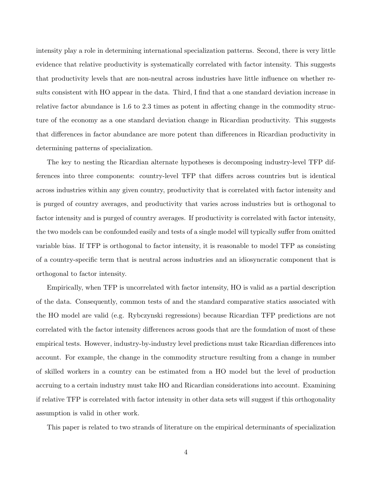intensity play a role in determining international specialization patterns. Second, there is very little evidence that relative productivity is systematically correlated with factor intensity. This suggests that productivity levels that are non-neutral across industries have little influence on whether results consistent with HO appear in the data. Third, I find that a one standard deviation increase in relative factor abundance is 1.6 to 2.3 times as potent in affecting change in the commodity structure of the economy as a one standard deviation change in Ricardian productivity. This suggests that differences in factor abundance are more potent than differences in Ricardian productivity in determining patterns of specialization.

The key to nesting the Ricardian alternate hypotheses is decomposing industry-level TFP differences into three components: country-level TFP that differs across countries but is identical across industries within any given country, productivity that is correlated with factor intensity and is purged of country averages, and productivity that varies across industries but is orthogonal to factor intensity and is purged of country averages. If productivity is correlated with factor intensity, the two models can be confounded easily and tests of a single model will typically suffer from omitted variable bias. If TFP is orthogonal to factor intensity, it is reasonable to model TFP as consisting of a country-specific term that is neutral across industries and an idiosyncratic component that is orthogonal to factor intensity.

Empirically, when TFP is uncorrelated with factor intensity, HO is valid as a partial description of the data. Consequently, common tests of and the standard comparative statics associated with the HO model are valid (e.g. Rybczynski regressions) because Ricardian TFP predictions are not correlated with the factor intensity differences across goods that are the foundation of most of these empirical tests. However, industry-by-industry level predictions must take Ricardian differences into account. For example, the change in the commodity structure resulting from a change in number of skilled workers in a country can be estimated from a HO model but the level of production accruing to a certain industry must take HO and Ricardian considerations into account. Examining if relative TFP is correlated with factor intensity in other data sets will suggest if this orthogonality assumption is valid in other work.

This paper is related to two strands of literature on the empirical determinants of specialization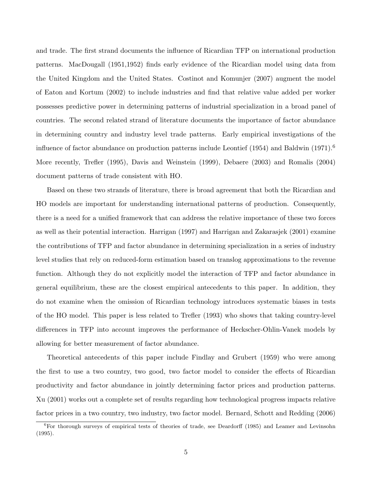and trade. The first strand documents the influence of Ricardian TFP on international production patterns. MacDougall (1951,1952) finds early evidence of the Ricardian model using data from the United Kingdom and the United States. Costinot and Komunjer (2007) augment the model of Eaton and Kortum (2002) to include industries and find that relative value added per worker possesses predictive power in determining patterns of industrial specialization in a broad panel of countries. The second related strand of literature documents the importance of factor abundance in determining country and industry level trade patterns. Early empirical investigations of the influence of factor abundance on production patterns include Leontief (1954) and Baldwin (1971).<sup>6</sup> More recently, Trefler (1995), Davis and Weinstein (1999), Debaere (2003) and Romalis (2004) document patterns of trade consistent with HO.

Based on these two strands of literature, there is broad agreement that both the Ricardian and HO models are important for understanding international patterns of production. Consequently, there is a need for a unified framework that can address the relative importance of these two forces as well as their potential interaction. Harrigan (1997) and Harrigan and Zakarasjek (2001) examine the contributions of TFP and factor abundance in determining specialization in a series of industry level studies that rely on reduced-form estimation based on translog approximations to the revenue function. Although they do not explicitly model the interaction of TFP and factor abundance in general equilibrium, these are the closest empirical antecedents to this paper. In addition, they do not examine when the omission of Ricardian technology introduces systematic biases in tests of the HO model. This paper is less related to Trefler (1993) who shows that taking country-level differences in TFP into account improves the performance of Heckscher-Ohlin-Vanek models by allowing for better measurement of factor abundance.

Theoretical antecedents of this paper include Findlay and Grubert (1959) who were among the first to use a two country, two good, two factor model to consider the effects of Ricardian productivity and factor abundance in jointly determining factor prices and production patterns. Xu (2001) works out a complete set of results regarding how technological progress impacts relative factor prices in a two country, two industry, two factor model. Bernard, Schott and Redding (2006)

<sup>&</sup>lt;sup>6</sup>For thorough surveys of empirical tests of theories of trade, see Deardorff (1985) and Leamer and Levinsohn (1995).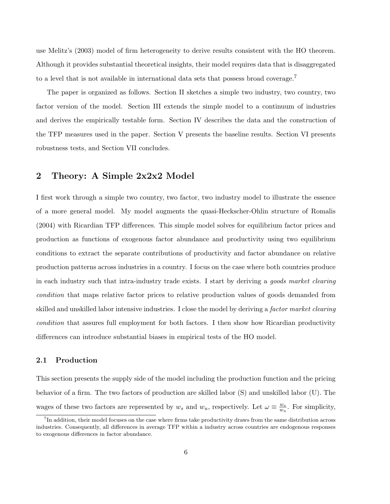use Melitz's (2003) model of firm heterogeneity to derive results consistent with the HO theorem. Although it provides substantial theoretical insights, their model requires data that is disaggregated to a level that is not available in international data sets that possess broad coverage.<sup>7</sup>

The paper is organized as follows. Section II sketches a simple two industry, two country, two factor version of the model. Section III extends the simple model to a continuum of industries and derives the empirically testable form. Section IV describes the data and the construction of the TFP measures used in the paper. Section V presents the baseline results. Section VI presents robustness tests, and Section VII concludes.

### 2 Theory: A Simple 2x2x2 Model

I first work through a simple two country, two factor, two industry model to illustrate the essence of a more general model. My model augments the quasi-Heckscher-Ohlin structure of Romalis (2004) with Ricardian TFP differences. This simple model solves for equilibrium factor prices and production as functions of exogenous factor abundance and productivity using two equilibrium conditions to extract the separate contributions of productivity and factor abundance on relative production patterns across industries in a country. I focus on the case where both countries produce in each industry such that intra-industry trade exists. I start by deriving a goods market clearing condition that maps relative factor prices to relative production values of goods demanded from skilled and unskilled labor intensive industries. I close the model by deriving a factor market clearing condition that assures full employment for both factors. I then show how Ricardian productivity differences can introduce substantial biases in empirical tests of the HO model.

### 2.1 Production

This section presents the supply side of the model including the production function and the pricing behavior of a firm. The two factors of production are skilled labor (S) and unskilled labor (U). The wages of these two factors are represented by  $w_s$  and  $w_u$ , respectively. Let  $\omega \equiv \frac{w_s}{w_u}$  $\frac{w_s}{w_u}$ . For simplicity,

<sup>&</sup>lt;sup>7</sup>In addition, their model focuses on the case where firms take productivity draws from the same distribution across industries. Consequently, all differences in average TFP within a industry across countries are endogenous responses to exogenous differences in factor abundance.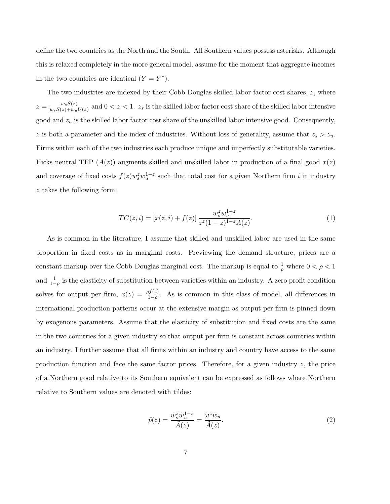define the two countries as the North and the South. All Southern values possess asterisks. Although this is relaxed completely in the more general model, assume for the moment that aggregate incomes in the two countries are identical  $(Y = Y^*)$ .

The two industries are indexed by their Cobb-Douglas skilled labor factor cost shares,  $z$ , where  $z = \frac{w_s S(z)}{w_s S(z) + w_s}$  $\frac{w_sS(z)}{w_sS(z)+w_uU(z)}$  and  $0 < z < 1$ .  $z_s$  is the skilled labor factor cost share of the skilled labor intensive good and  $z_u$  is the skilled labor factor cost share of the unskilled labor intensive good. Consequently, z is both a parameter and the index of industries. Without loss of generality, assume that  $z_s > z_u$ . Firms within each of the two industries each produce unique and imperfectly substitutable varieties. Hicks neutral TFP  $(A(z))$  augments skilled and unskilled labor in production of a final good  $x(z)$ and coverage of fixed costs  $f(z)w_s^z w_u^{1-z}$  such that total cost for a given Northern firm i in industry z takes the following form:

$$
TC(z,i) = [x(z,i) + f(z)] \frac{w_s^z w_u^{1-z}}{z^z (1-z)^{1-z} A(z)}.
$$
\n(1)

As is common in the literature, I assume that skilled and unskilled labor are used in the same proportion in fixed costs as in marginal costs. Previewing the demand structure, prices are a constant markup over the Cobb-Douglas marginal cost. The markup is equal to  $\frac{1}{\rho}$  where  $0 < \rho < 1$ and  $\frac{1}{1-\rho}$  is the elasticity of substitution between varieties within an industry. A zero profit condition solves for output per firm,  $x(z) = \frac{\rho f(z)}{1-\rho}$ . As is common in this class of model, all differences in international production patterns occur at the extensive margin as output per firm is pinned down by exogenous parameters. Assume that the elasticity of substitution and fixed costs are the same in the two countries for a given industry so that output per firm is constant across countries within an industry. I further assume that all firms within an industry and country have access to the same production function and face the same factor prices. Therefore, for a given industry  $z$ , the price of a Northern good relative to its Southern equivalent can be expressed as follows where Northern relative to Southern values are denoted with tildes:

$$
\tilde{p}(z) = \frac{\tilde{w}_s^z \tilde{w}_u^{1-z}}{\tilde{A}(z)} = \frac{\tilde{\omega}^z \tilde{w}_u}{\tilde{A}(z)}.
$$
\n(2)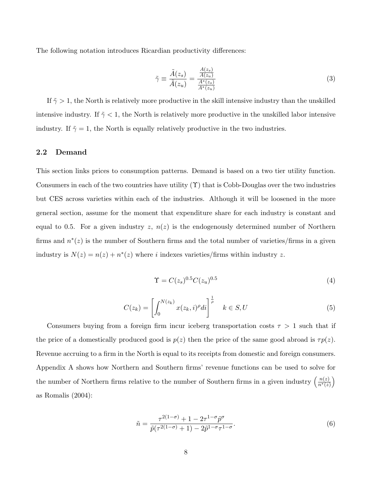The following notation introduces Ricardian productivity differences:

$$
\tilde{\gamma} \equiv \frac{\tilde{A}(z_s)}{\tilde{A}(z_u)} = \frac{\frac{A(z_s)}{A(z_u)}}{\frac{A^*(z_s)}{A^*(z_u)}}
$$
(3)

If  $\tilde{\gamma} > 1$ , the North is relatively more productive in the skill intensive industry than the unskilled intensive industry. If  $\tilde{\gamma}$  < 1, the North is relatively more productive in the unskilled labor intensive industry. If  $\tilde{\gamma} = 1$ , the North is equally relatively productive in the two industries.

#### 2.2 Demand

This section links prices to consumption patterns. Demand is based on a two tier utility function. Consumers in each of the two countries have utility  $(\Upsilon)$  that is Cobb-Douglas over the two industries but CES across varieties within each of the industries. Although it will be loosened in the more general section, assume for the moment that expenditure share for each industry is constant and equal to 0.5. For a given industry  $z, n(z)$  is the endogenously determined number of Northern firms and  $n^*(z)$  is the number of Southern firms and the total number of varieties/firms in a given industry is  $N(z) = n(z) + n^*(z)$  where *i* indexes varieties/firms within industry z.

$$
\Upsilon = C(z_s)^{0.5} C(z_u)^{0.5} \tag{4}
$$

$$
C(z_k) = \left[\int_0^{N(z_k)} x(z_k, i)^{\rho} di\right]^{\frac{1}{\rho}} \quad k \in S, U \tag{5}
$$

Consumers buying from a foreign firm incur iceberg transportation costs  $\tau > 1$  such that if the price of a domestically produced good is  $p(z)$  then the price of the same good abroad is  $\tau p(z)$ . Revenue accruing to a firm in the North is equal to its receipts from domestic and foreign consumers. Appendix A shows how Northern and Southern firms' revenue functions can be used to solve for the number of Northern firms relative to the number of Southern firms in a given industry  $\left(\frac{n(z)}{n^*(z)}\right)$  $\frac{n(z)}{n^*(z)}$ as Romalis (2004):

$$
\tilde{n} = \frac{\tau^{2(1-\sigma)} + 1 - 2\tau^{1-\sigma}\tilde{p}^{\sigma}}{\tilde{p}(\tau^{2(1-\sigma)} + 1) - 2\tilde{p}^{1-\sigma}\tau^{1-\sigma}}.
$$
\n(6)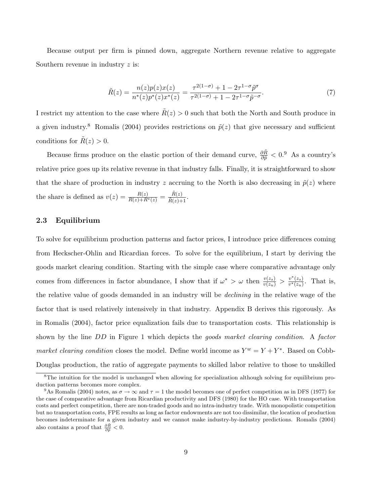Because output per firm is pinned down, aggregate Northern revenue relative to aggregate Southern revenue in industry z is:

$$
\tilde{R}(z) = \frac{n(z)p(z)x(z)}{n^*(z)p^*(z)x^*(z)} = \frac{\tau^{2(1-\sigma)} + 1 - 2\tau^{1-\sigma}\tilde{p}^{\sigma}}{\tau^{2(1-\sigma)} + 1 - 2\tau^{1-\sigma}\tilde{p}^{-\sigma}}.
$$
\n(7)

I restrict my attention to the case where  $\tilde{R}(z) > 0$  such that both the North and South produce in a given industry.<sup>8</sup> Romalis (2004) provides restrictions on  $\tilde{p}(z)$  that give necessary and sufficient conditions for  $\tilde{R}(z) > 0$ .

Because firms produce on the elastic portion of their demand curve,  $\frac{\partial \tilde{R}}{\partial \tilde{p}} < 0$ .<sup>9</sup> As a country's relative price goes up its relative revenue in that industry falls. Finally, it is straightforward to show that the share of production in industry z accruing to the North is also decreasing in  $\tilde{p}(z)$  where the share is defined as  $v(z) = \frac{R(z)}{R(z) + R^*(z)} = \frac{\tilde{R}(z)}{\tilde{R}(z) + 1}$ .

### 2.3 Equilibrium

To solve for equilibrium production patterns and factor prices, I introduce price differences coming from Heckscher-Ohlin and Ricardian forces. To solve for the equilibrium, I start by deriving the goods market clearing condition. Starting with the simple case where comparative advantage only comes from differences in factor abundance, I show that if  $\omega^* > \omega$  then  $\frac{v(z_s)}{v(z_u)} > \frac{v^*(z_s)}{v^*(z_u)}$  $\frac{v^{\scriptscriptstyle +}(z_s)}{v^*(z_u)}$ . That is, the relative value of goods demanded in an industry will be declining in the relative wage of the factor that is used relatively intensively in that industry. Appendix B derives this rigorously. As in Romalis (2004), factor price equalization fails due to transportation costs. This relationship is shown by the line DD in Figure 1 which depicts the goods market clearing condition. A factor market clearing condition closes the model. Define world income as  $Y^w = Y + Y^*$ . Based on Cobb-Douglas production, the ratio of aggregate payments to skilled labor relative to those to unskilled

<sup>&</sup>lt;sup>8</sup>The intuition for the model is unchanged when allowing for specialization although solving for equilibrium production patterns becomes more complex.

<sup>&</sup>lt;sup>9</sup>As Romalis (2004) notes, as  $\sigma \to \infty$  and  $\tau = 1$  the model becomes one of perfect competition as in DFS (1977) for the case of comparative advantage from Ricardian productivity and DFS (1980) for the HO case. With transportation costs and perfect competition, there are non-traded goods and no intra-industry trade. With monopolistic competition but no transportation costs, FPE results as long as factor endowments are not too dissimilar, the location of production becomes indeterminate for a given industry and we cannot make industry-by-industry predictions. Romalis (2004) also contains a proof that  $\frac{\partial \tilde{R}}{\partial \tilde{p}} < 0$ .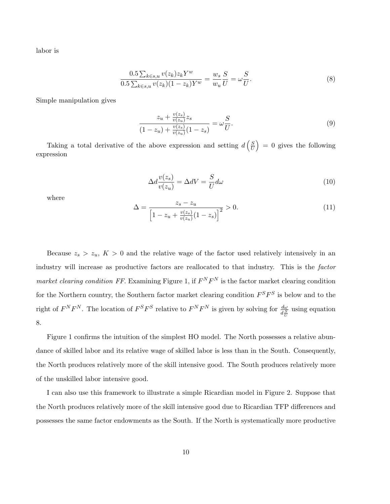labor is

$$
\frac{0.5 \sum_{k \in s, u} v(z_k) z_k Y^w}{0.5 \sum_{k \in s, u} v(z_k) (1 - z_k) Y^w} = \frac{w_s}{w_u} \frac{S}{U} = \omega \frac{S}{U}.
$$
\n(8)

Simple manipulation gives

$$
\frac{z_u + \frac{v(z_s)}{v(z_u)} z_s}{(1 - z_u) + \frac{v(z_s)}{v(z_u)}(1 - z_s)} = \omega \frac{S}{U}.
$$
\n(9)

Taking a total derivative of the above expression and setting  $d\left(\frac{S}{U}\right)$  $\left(\frac{S}{U}\right) = 0$  gives the following expression

$$
\Delta d \frac{v(z_s)}{v(z_u)} = \Delta dV = \frac{S}{U} d\omega \tag{10}
$$

where

$$
\Delta = \frac{z_s - z_u}{\left[1 - z_u + \frac{v(z_s)}{v(z_u)}(1 - z_s)\right]^2} > 0.
$$
\n(11)

Because  $z_s > z_u$ ,  $K > 0$  and the relative wage of the factor used relatively intensively in an industry will increase as productive factors are reallocated to that industry. This is the factor market clearing condition FF. Examining Figure 1, if  $F^N F^N$  is the factor market clearing condition for the Northern country, the Southern factor market clearing condition  $F^S F^S$  is below and to the right of  $F^N F^N$ . The location of  $F^S F^S$  relative to  $F^N F^N$  is given by solving for  $\frac{d\omega}{d\frac{S}{U}}$  using equation 8.

Figure 1 confirms the intuition of the simplest HO model. The North possesses a relative abundance of skilled labor and its relative wage of skilled labor is less than in the South. Consequently, the North produces relatively more of the skill intensive good. The South produces relatively more of the unskilled labor intensive good.

I can also use this framework to illustrate a simple Ricardian model in Figure 2. Suppose that the North produces relatively more of the skill intensive good due to Ricardian TFP differences and possesses the same factor endowments as the South. If the North is systematically more productive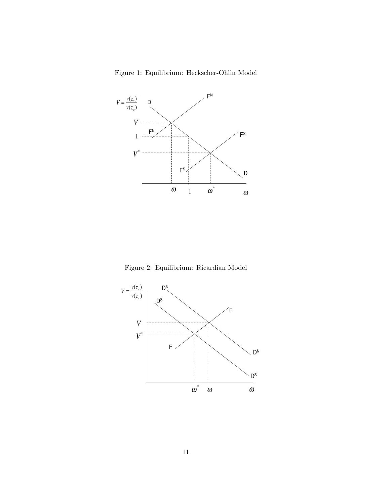Figure 1: Equilibrium: Heckscher-Ohlin Model



Figure 2: Equilibrium: Ricardian Model

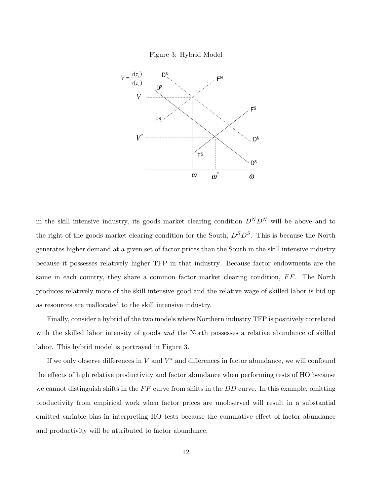



in the skill intensive industry, its goods market clearing condition  $D^N D^N$  will be above and to the right of the goods market clearing condition for the South,  $D<sup>S</sup>D<sup>S</sup>$ . This is because the North generates higher demand at a given set of factor prices than the South in the skill intensive industry because it possesses relatively higher TFP in that industry. Because factor endowments are the same in each country, they share a common factor market clearing condition,  $FF$ . The North produces relatively more of the skill intensive good and the relative wage of skilled labor is bid up as resources are reallocated to the skill intensive industry.

Finally, consider a hybrid of the two models where Northern industry TFP is positively correlated with the skilled labor intensity of goods *and* the North possesses a relative abundance of skilled labor. This hybrid model is portrayed in Figure 3.

If we only observe differences in  $V$  and  $V^*$  and differences in factor abundance, we will confound the effects of high relative productivity and factor abundance when performing tests of HO because we cannot distinguish shifts in the  $FF$  curve from shifts in the  $DD$  curve. In this example, omitting productivity from empirical work when factor prices are unobserved will result in a substantial omitted variable bias in interpreting HO tests because the cumulative effect of factor abundance and productivity will be attributed to factor abundance.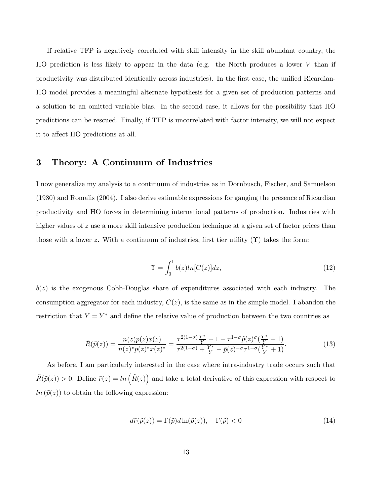If relative TFP is negatively correlated with skill intensity in the skill abundant country, the HO prediction is less likely to appear in the data (e.g. the North produces a lower  $V$  than if productivity was distributed identically across industries). In the first case, the unified Ricardian-HO model provides a meaningful alternate hypothesis for a given set of production patterns and a solution to an omitted variable bias. In the second case, it allows for the possibility that HO predictions can be rescued. Finally, if TFP is uncorrelated with factor intensity, we will not expect it to affect HO predictions at all.

### 3 Theory: A Continuum of Industries

I now generalize my analysis to a continuum of industries as in Dornbusch, Fischer, and Samuelson (1980) and Romalis (2004). I also derive estimable expressions for gauging the presence of Ricardian productivity and HO forces in determining international patterns of production. Industries with higher values of z use a more skill intensive production technique at a given set of factor prices than those with a lower z. With a continuum of industries, first tier utility  $(\Upsilon)$  takes the form:

$$
\Upsilon = \int_0^1 b(z)ln[C(z)]dz,\tag{12}
$$

 $b(z)$  is the exogenous Cobb-Douglas share of expenditures associated with each industry. The consumption aggregator for each industry,  $C(z)$ , is the same as in the simple model. I abandon the restriction that  $Y = Y^*$  and define the relative value of production between the two countries as

$$
\tilde{R}(\tilde{p}(z)) = \frac{n(z)p(z)x(z)}{n(z)^*p(z)^*x(z)^*} = \frac{\tau^{2(1-\sigma)}\frac{Y^*}{Y} + 1 - \tau^{1-\sigma}\tilde{p}(z)^{\sigma}(\frac{Y^*}{Y} + 1)}{\tau^{2(1-\sigma)} + \frac{Y^*}{Y} - \tilde{p}(z)^{-\sigma}\tau^{1-\sigma}(\frac{Y^*}{Y} + 1)}.
$$
\n(13)

As before, I am particularly interested in the case where intra-industry trade occurs such that  $\tilde{R}(\tilde{p}(z)) > 0$ . Define  $\tilde{r}(z) = \ln(\tilde{R}(z))$  and take a total derivative of this expression with respect to  $ln(\tilde{p}(z))$  to obtain the following expression:

$$
d\tilde{r}(\tilde{p}(z)) = \Gamma(\tilde{p})d\ln(\tilde{p}(z)), \quad \Gamma(\tilde{p}) < 0 \tag{14}
$$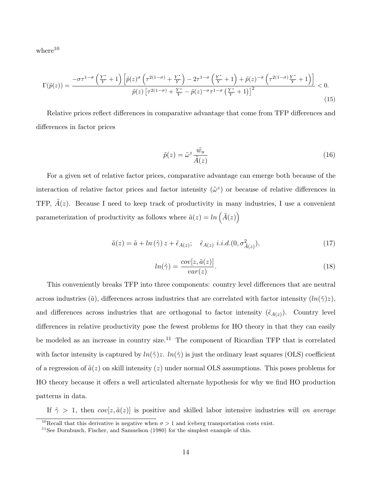${\rm where}^{10}$ 

$$
\Gamma(\tilde{p}(z)) = \frac{-\sigma\tau^{1-\sigma}\left(\frac{Y^*}{Y}+1\right)\left[\tilde{p}(z)^{\sigma}\left(\tau^{2(1-\sigma)}+\frac{Y^*}{Y}\right)-2\tau^{1-\sigma}\left(\frac{Y^*}{Y}+1\right)+\tilde{p}(z)^{-\sigma}\left(\tau^{2(1-\sigma)}\frac{Y^*}{Y}+1\right)\right]}{\tilde{p}(z)\left[\tau^{2(1-\sigma)}+\frac{Y^*}{Y}-\tilde{p}(z)^{-\sigma}\tau^{1-\sigma}\left(\frac{Y^*}{Y}+1\right)\right]^2} < 0.
$$
\n(15)

Relative prices reflect differences in comparative advantage that come from TFP differences and differences in factor prices

$$
\tilde{p}(z) = \tilde{\omega}^z \frac{\tilde{w}_u}{\tilde{A}(z)}\tag{16}
$$

For a given set of relative factor prices, comparative advantage can emerge both because of the interaction of relative factor prices and factor intensity  $(\tilde{\omega}^z)$  or because of relative differences in TFP,  $A(z)$ . Because I need to keep track of productivity in many industries, I use a convenient parameterization of productivity as follows where  $\tilde{a}(z) = \ln\left(\tilde{A}(z)\right)$ 

$$
\tilde{a}(z) = \tilde{a} + \ln(\tilde{\gamma}) z + \tilde{\epsilon}_{A(z)}; \quad \tilde{\epsilon}_{A(z)} \ i.i.d. (0, \sigma^2_{\tilde{A}(z)}), \tag{17}
$$

$$
ln(\tilde{\gamma}) = \frac{cov[z, \tilde{a}(z)]}{var(z)}.
$$
\n(18)

This conveniently breaks TFP into three components: country level differences that are neutral across industries ( $\tilde{a}$ ), differences across industries that are correlated with factor intensity  $(ln(\tilde{\gamma})z)$ , and differences across industries that are orthogonal to factor intensity  $(\tilde{\epsilon}_{A(z)})$ . Country level differences in relative productivity pose the fewest problems for HO theory in that they can easily be modeled as an increase in country size.<sup>11</sup> The component of Ricardian TFP that is correlated with factor intensity is captured by  $ln(\tilde{\gamma})z$ .  $ln(\tilde{\gamma})$  is just the ordinary least squares (OLS) coefficient of a regression of  $\tilde{a}(z)$  on skill intensity (z) under normal OLS assumptions. This poses problems for HO theory because it offers a well articulated alternate hypothesis for why we find HO production patterns in data.

If  $\tilde{\gamma} > 1$ , then  $cov[z, \tilde{a}(z)]$  is positive and skilled labor intensive industries will on average

<sup>&</sup>lt;sup>10</sup>Recall that this derivative is negative when  $\sigma > 1$  and iceberg transportation costs exist.

 $11$ See Dornbusch, Fischer, and Samuelson (1980) for the simplest example of this.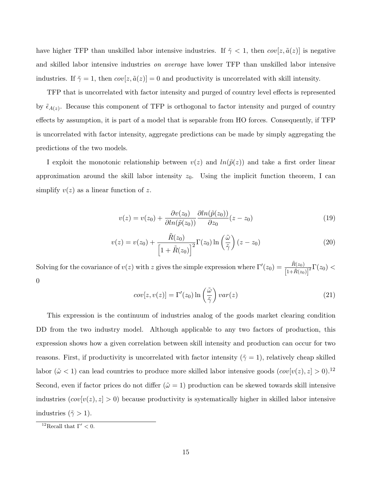have higher TFP than unskilled labor intensive industries. If  $\tilde{\gamma} < 1$ , then  $cov[z, \tilde{a}(z)]$  is negative and skilled labor intensive industries on average have lower TFP than unskilled labor intensive industries. If  $\tilde{\gamma} = 1$ , then  $cov[z, \tilde{a}(z)] = 0$  and productivity is uncorrelated with skill intensity.

TFP that is uncorrelated with factor intensity and purged of country level effects is represented by  $\tilde{\epsilon}_{A(z)}$ . Because this component of TFP is orthogonal to factor intensity and purged of country effects by assumption, it is part of a model that is separable from HO forces. Consequently, if TFP is uncorrelated with factor intensity, aggregate predictions can be made by simply aggregating the predictions of the two models.

I exploit the monotonic relationship between  $v(z)$  and  $ln(\tilde{p}(z))$  and take a first order linear approximation around the skill labor intensity  $z_0$ . Using the implicit function theorem, I can simplify  $v(z)$  as a linear function of z.

$$
v(z) = v(z_0) + \frac{\partial v(z_0)}{\partial \ln(\tilde{p}(z_0))} \frac{\partial \ln(\tilde{p}(z_0))}{\partial z_0} (z - z_0)
$$
\n(19)

$$
v(z) = v(z_0) + \frac{\tilde{R}(z_0)}{\left[1 + \tilde{R}(z_0)\right]^2} \Gamma(z_0) \ln\left(\frac{\tilde{\omega}}{\tilde{\gamma}}\right) (z - z_0)
$$
\n(20)

Solving for the covariance of  $v(z)$  with z gives the simple expression where  $\Gamma'(z_0) = \frac{\tilde{R}(z_0)}{\left[1 + \tilde{R}(z_0)\right]^2} \Gamma(z_0)$ 0

$$
cov[z, v(z)] = \Gamma'(z_0) \ln\left(\frac{\tilde{\omega}}{\tilde{\gamma}}\right) var(z)
$$
\n(21)

This expression is the continuum of industries analog of the goods market clearing condition DD from the two industry model. Although applicable to any two factors of production, this expression shows how a given correlation between skill intensity and production can occur for two reasons. First, if productivity is uncorrelated with factor intensity ( $\tilde{\gamma} = 1$ ), relatively cheap skilled labor ( $\tilde{\omega}$  < 1) can lead countries to produce more skilled labor intensive goods  $(cov[v(z), z] > 0).$ <sup>12</sup> Second, even if factor prices do not differ  $(\tilde{\omega} = 1)$  production can be skewed towards skill intensive industries  $(cov[v(z), z] > 0)$  because productivity is systematically higher in skilled labor intensive industries ( $\tilde{\gamma} > 1$ ).

<sup>&</sup>lt;sup>12</sup>Recall that  $\Gamma' < 0$ .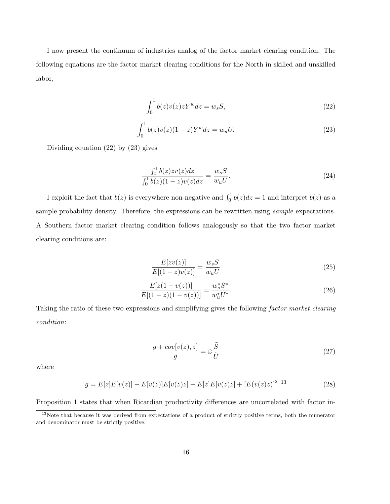I now present the continuum of industries analog of the factor market clearing condition. The following equations are the factor market clearing conditions for the North in skilled and unskilled labor,

$$
\int_0^1 b(z)v(z)zY^w dz = w_s S,\tag{22}
$$

$$
\int_0^1 b(z)v(z)(1-z)Y^w dz = w_u U.
$$
\n(23)

Dividing equation (22) by (23) gives

$$
\frac{\int_0^1 b(z)zv(z)dz}{\int_0^1 b(z)(1-z)v(z)dz} = \frac{w_s S}{w_u U}.
$$
\n(24)

I exploit the fact that  $b(z)$  is everywhere non-negative and  $\int_0^1 b(z)dz = 1$  and interpret  $b(z)$  as a sample probability density. Therefore, the expressions can be rewritten using *sample* expectations. A Southern factor market clearing condition follows analogously so that the two factor market clearing conditions are:

$$
\frac{E[zv(z)]}{E[(1-z)v(z)]} = \frac{w_s S}{w_u U}
$$
\n(25)

$$
\frac{E[z(1-v(z))]}{E[(1-z)(1-v(z))]} = \frac{w_s^* S^*}{w_u^* U^*}.
$$
\n(26)

Taking the ratio of these two expressions and simplifying gives the following factor market clearing condition:

$$
\frac{g + cov[v(z), z]}{g} = \tilde{\omega}\frac{\tilde{S}}{\tilde{U}}
$$
\n(27)

where

$$
g = E[z]E[v(z)] - E[v(z)]E[v(z)z] - E[z]E[v(z)z] + [E(v(z)z)]^{2}.13
$$
 (28)

Proposition 1 states that when Ricardian productivity differences are uncorrelated with factor in-

<sup>&</sup>lt;sup>13</sup>Note that because it was derived from expectations of a product of strictly positive terms, both the numerator and denominator must be strictly positive.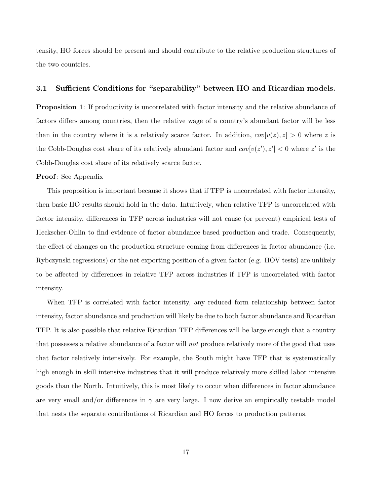tensity, HO forces should be present and should contribute to the relative production structures of the two countries.

#### 3.1 Sufficient Conditions for "separability" between HO and Ricardian models.

**Proposition 1**: If productivity is uncorrelated with factor intensity and the relative abundance of factors differs among countries, then the relative wage of a country's abundant factor will be less than in the country where it is a relatively scarce factor. In addition,  $cov[v(z), z] > 0$  where z is the Cobb-Douglas cost share of its relatively abundant factor and  $cov[v(z'), z'] < 0$  where z' is the Cobb-Douglas cost share of its relatively scarce factor.

#### Proof: See Appendix

This proposition is important because it shows that if TFP is uncorrelated with factor intensity, then basic HO results should hold in the data. Intuitively, when relative TFP is uncorrelated with factor intensity, differences in TFP across industries will not cause (or prevent) empirical tests of Heckscher-Ohlin to find evidence of factor abundance based production and trade. Consequently, the effect of changes on the production structure coming from differences in factor abundance (i.e. Rybczynski regressions) or the net exporting position of a given factor (e.g. HOV tests) are unlikely to be affected by differences in relative TFP across industries if TFP is uncorrelated with factor intensity.

When TFP is correlated with factor intensity, any reduced form relationship between factor intensity, factor abundance and production will likely be due to both factor abundance and Ricardian TFP. It is also possible that relative Ricardian TFP differences will be large enough that a country that possesses a relative abundance of a factor will not produce relatively more of the good that uses that factor relatively intensively. For example, the South might have TFP that is systematically high enough in skill intensive industries that it will produce relatively more skilled labor intensive goods than the North. Intuitively, this is most likely to occur when differences in factor abundance are very small and/or differences in  $\gamma$  are very large. I now derive an empirically testable model that nests the separate contributions of Ricardian and HO forces to production patterns.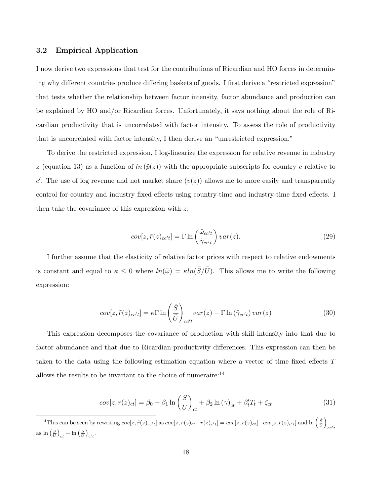#### 3.2 Empirical Application

I now derive two expressions that test for the contributions of Ricardian and HO forces in determining why different countries produce differing baskets of goods. I first derive a "restricted expression" that tests whether the relationship between factor intensity, factor abundance and production can be explained by HO and/or Ricardian forces. Unfortunately, it says nothing about the role of Ricardian productivity that is uncorrelated with factor intensity. To assess the role of productivity that is uncorrelated with factor intensity, I then derive an "unrestricted expression."

To derive the restricted expression, I log-linearize the expression for relative revenue in industry z (equation 13) as a function of  $ln(\tilde{p}(z))$  with the appropriate subscripts for country c relative to c'. The use of log revenue and not market share  $(v(z))$  allows me to more easily and transparently control for country and industry fixed effects using country-time and industry-time fixed effects. I then take the covariance of this expression with z:

$$
cov[z,\tilde{r}(z)_{cc't}] = \Gamma \ln\left(\frac{\tilde{\omega}_{cc't}}{\tilde{\gamma}_{cc't}}\right) var(z).
$$
\n(29)

I further assume that the elasticity of relative factor prices with respect to relative endowments is constant and equal to  $\kappa \leq 0$  where  $ln(\tilde{\omega}) = \kappa ln(\tilde{S}/\tilde{U})$ . This allows me to write the following expression:

$$
cov[z,\tilde{r}(z)_{cc't}] = \kappa \Gamma \ln \left(\frac{\tilde{S}}{\tilde{U}}\right)_{cc't} var(z) - \Gamma \ln \left(\tilde{\gamma}_{cc't}\right) var(z)
$$
\n(30)

This expression decomposes the covariance of production with skill intensity into that due to factor abundance and that due to Ricardian productivity differences. This expression can then be taken to the data using the following estimation equation where a vector of time fixed effects T allows the results to be invariant to the choice of numeraire:  $14$ 

$$
cov[z, r(z)_{ct}] = \beta_0 + \beta_1 \ln\left(\frac{S}{U}\right)_{ct} + \beta_2 \ln(\gamma)_{ct} + \beta'_t T_t + \zeta_{ct}
$$
\n(31)

<sup>&</sup>lt;sup>14</sup>This can be seen by rewriting  $cov[z, \tilde{r}(z)_{cc't}]$  as  $cov[z, r(z)_{ct}-r(z)_{c't}] = cov[z, r(z)_{ct}]-cov[z, r(z)_{c't}]$  and  $\ln\left(\frac{\tilde{S}}{\tilde{U}}\right)$  $cc't$ as  $\ln\left(\frac{S}{U}\right)_{ct} - \ln\left(\frac{S}{U}\right)_{c't}$ .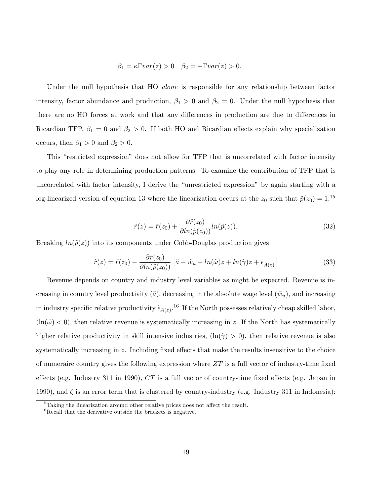$$
\beta_1 = \kappa \Gamma var(z) > 0 \quad \beta_2 = -\Gamma var(z) > 0.
$$

Under the null hypothesis that HO *alone* is responsible for any relationship between factor intensity, factor abundance and production,  $\beta_1 > 0$  and  $\beta_2 = 0$ . Under the null hypothesis that there are no HO forces at work and that any differences in production are due to differences in Ricardian TFP,  $\beta_1 = 0$  and  $\beta_2 > 0$ . If both HO and Ricardian effects explain why specialization occurs, then  $\beta_1 > 0$  and  $\beta_2 > 0$ .

This "restricted expression" does not allow for TFP that is uncorrelated with factor intensity to play any role in determining production patterns. To examine the contribution of TFP that is uncorrelated with factor intensity, I derive the "unrestricted expression" by again starting with a log-linearized version of equation 13 where the linearization occurs at the  $z_0$  such that  $\tilde{p}(z_0) = 1$ :<sup>15</sup>

$$
\tilde{r}(z) = \tilde{r}(z_0) + \frac{\partial \tilde{r}(z_0)}{\partial \ln(\tilde{p}(z_0))} \ln(\tilde{p}(z)).
$$
\n(32)

Breaking  $ln(\tilde{p}(z))$  into its components under Cobb-Douglas production gives

$$
\tilde{r}(z) = \tilde{r}(z_0) - \frac{\partial \tilde{r}(z_0)}{\partial \ln(\tilde{p}(z_0))} \left[ \tilde{a} - \tilde{w}_u - \ln(\tilde{\omega})z + \ln(\tilde{\gamma})z + \epsilon_{\tilde{A}(z)} \right]
$$
\n(33)

Revenue depends on country and industry level variables as might be expected. Revenue is increasing in country level productivity ( $\tilde{a}$ ), decreasing in the absolute wage level  $(\tilde{w}_u)$ , and increasing in industry specific relative productivity  $\tilde{\epsilon}_{A(z)}$ .<sup>16</sup> If the North possesses relatively cheap skilled labor,  $(\ln(\tilde{\omega}) < 0)$ , then relative revenue is systematically increasing in z. If the North has systematically higher relative productivity in skill intensive industries,  $(\ln(\tilde{\gamma}) > 0)$ , then relative revenue is also systematically increasing in z. Including fixed effects that make the results insensitive to the choice of numeraire country gives the following expression where  $ZT$  is a full vector of industry-time fixed effects (e.g. Industry 311 in 1990), CT is a full vector of country-time fixed effects (e.g. Japan in 1990), and  $\zeta$  is an error term that is clustered by country-industry (e.g. Industry 311 in Indonesia):

<sup>&</sup>lt;sup>15</sup>Taking the linearization around other relative prices does not affect the result.

<sup>&</sup>lt;sup>16</sup>Recall that the derivative outside the brackets is negative.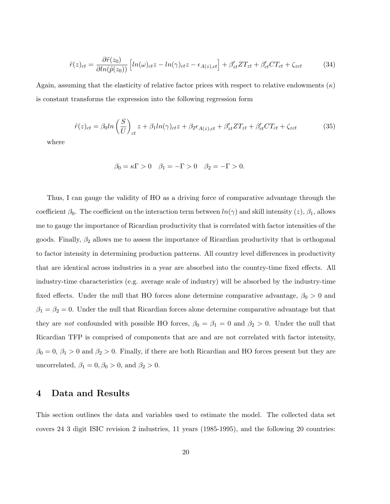$$
\tilde{r}(z)_{ct} = \frac{\partial \tilde{r}(z_0)}{\partial \ln(\tilde{p}(z_0))} \left[ \ln(\omega)_{ct} z - \ln(\gamma)_{ct} z - \epsilon_{A(z),ct} \right] + \beta'_{zt} Z T_{zt} + \beta'_{ct} C T_{ct} + \zeta_{zct} \tag{34}
$$

Again, assuming that the elasticity of relative factor prices with respect to relative endowments  $(\kappa)$ is constant transforms the expression into the following regression form

$$
\tilde{r}(z)_{ct} = \beta_0 ln\left(\frac{S}{U}\right)_{ct} z + \beta_1 ln(\gamma)_{ct} z + \beta_2 \epsilon_{A(z),ct} + \beta'_{zt} Z T_{zt} + \beta'_{ct} C T_{ct} + \zeta_{zct}
$$
\n(35)

where

$$
\beta_0 = \kappa \Gamma > 0 \quad \beta_1 = -\Gamma > 0 \quad \beta_2 = -\Gamma > 0.
$$

Thus, I can gauge the validity of HO as a driving force of comparative advantage through the coefficient  $\beta_0$ . The coefficient on the interaction term between  $ln(\gamma)$  and skill intensity  $(z)$ ,  $\beta_1$ , allows me to gauge the importance of Ricardian productivity that is correlated with factor intensities of the goods. Finally,  $\beta_2$  allows me to assess the importance of Ricardian productivity that is orthogonal to factor intensity in determining production patterns. All country level differences in productivity that are identical across industries in a year are absorbed into the country-time fixed effects. All industry-time characteristics (e.g. average scale of industry) will be absorbed by the industry-time fixed effects. Under the null that HO forces alone determine comparative advantage,  $\beta_0 > 0$  and  $\beta_1 = \beta_2 = 0$ . Under the null that Ricardian forces alone determine comparative advantage but that they are not confounded with possible HO forces,  $\beta_0 = \beta_1 = 0$  and  $\beta_2 > 0$ . Under the null that Ricardian TFP is comprised of components that are and are not correlated with factor intensity,  $\beta_0 = 0$ ,  $\beta_1 > 0$  and  $\beta_2 > 0$ . Finally, if there are both Ricardian and HO forces present but they are uncorrelated,  $\beta_1 = 0, \beta_0 > 0$ , and  $\beta_2 > 0$ .

### 4 Data and Results

This section outlines the data and variables used to estimate the model. The collected data set covers 24 3 digit ISIC revision 2 industries, 11 years (1985-1995), and the following 20 countries: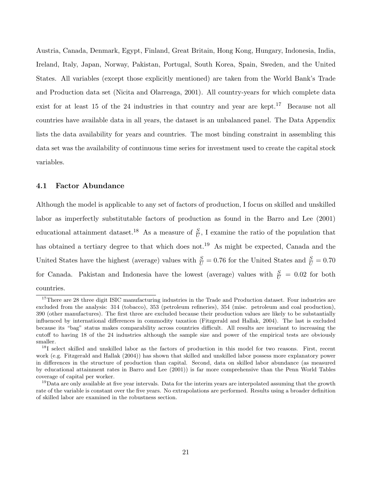Austria, Canada, Denmark, Egypt, Finland, Great Britain, Hong Kong, Hungary, Indonesia, India, Ireland, Italy, Japan, Norway, Pakistan, Portugal, South Korea, Spain, Sweden, and the United States. All variables (except those explicitly mentioned) are taken from the World Bank's Trade and Production data set (Nicita and Olarreaga, 2001). All country-years for which complete data exist for at least 15 of the 24 industries in that country and year are kept.<sup>17</sup> Because not all countries have available data in all years, the dataset is an unbalanced panel. The Data Appendix lists the data availability for years and countries. The most binding constraint in assembling this data set was the availability of continuous time series for investment used to create the capital stock variables.

#### 4.1 Factor Abundance

Although the model is applicable to any set of factors of production, I focus on skilled and unskilled labor as imperfectly substitutable factors of production as found in the Barro and Lee (2001) educational attainment dataset.<sup>18</sup> As a measure of  $\frac{S}{U}$ , I examine the ratio of the population that has obtained a tertiary degree to that which does not.<sup>19</sup> As might be expected, Canada and the United States have the highest (average) values with  $\frac{S}{U} = 0.76$  for the United States and  $\frac{S}{U} = 0.70$ for Canada. Pakistan and Indonesia have the lowest (average) values with  $\frac{S}{U} = 0.02$  for both countries.

<sup>&</sup>lt;sup>17</sup>There are 28 three digit ISIC manufacturing industries in the Trade and Production dataset. Four industries are excluded from the analysis: 314 (tobacco), 353 (petroleum refineries), 354 (misc. petroleum and coal production), 390 (other manufactures). The first three are excluded because their production values are likely to be substantially influenced by international differences in commodity taxation (Fitzgerald and Hallak, 2004). The last is excluded because its "bag" status makes comparability across countries difficult. All results are invariant to increasing the cutoff to having 18 of the 24 industries although the sample size and power of the empirical tests are obviously smaller.

<sup>&</sup>lt;sup>18</sup>I select skilled and unskilled labor as the factors of production in this model for two reasons. First, recent work (e.g. Fitzgerald and Hallak (2004)) has shown that skilled and unskilled labor possess more explanatory power in differences in the structure of production than capital. Second, data on skilled labor abundance (as measured by educational attainment rates in Barro and Lee (2001)) is far more comprehensive than the Penn World Tables coverage of capital per worker.

<sup>&</sup>lt;sup>19</sup>Data are only available at five year intervals. Data for the interim years are interpolated assuming that the growth rate of the variable is constant over the five years. No extrapolations are performed. Results using a broader definition of skilled labor are examined in the robustness section.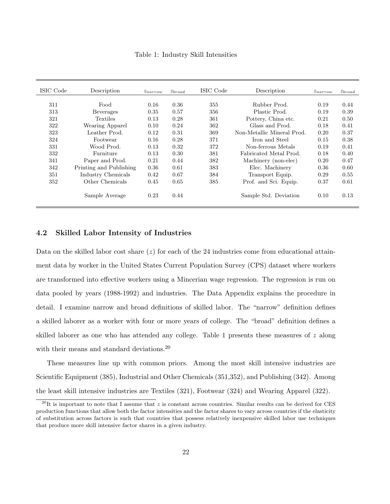|  |  |  | Table 1: Industry Skill Intensities |
|--|--|--|-------------------------------------|
|--|--|--|-------------------------------------|

| ISIC Code | Description             | $z_{narrow}$ | $z_{broad}$ | ISIC Code | Description                | $z_{narrow}$ | $z_{broad}$ |
|-----------|-------------------------|--------------|-------------|-----------|----------------------------|--------------|-------------|
|           |                         |              |             |           |                            |              |             |
| 311       | Food                    | 0.16         | 0.36        | 355       | Rubber Prod.               | 0.19         | 0.44        |
| 313       | Beverages               | 0.35         | 0.57        | 356       | Plastic Prod.              | 0.19         | 0.39        |
| 321       | <b>Textiles</b>         | 0.13         | 0.28        | 361       | Pottery, China etc.        | 0.21         | 0.50        |
| 322       | Wearing Apparel         | 0.10         | 0.24        | 362       | Glass and Prod.            | 0.18         | 0.41        |
| 323       | Leather Prod.           | 0.12         | 0.31        | 369       | Non-Metallic Mineral Prod. | 0.20         | 0.37        |
| 324       | Footwear                | 0.16         | 0.28        | 371       | Iron and Steel             | 0.15         | 0.38        |
| 331       | Wood Prod.              | 0.13         | 0.32        | 372       | Non-ferrous Metals         | 0.19         | 0.41        |
| 332       | Furniture               | 0.13         | 0.30        | 381       | Fabricated Metal Prod.     | 0.18         | 0.40        |
| 341       | Paper and Prod.         | 0.21         | 0.44        | 382       | Machinery (non-elec)       | 0.20         | 0.47        |
| 342       | Printing and Publishing | 0.36         | 0.61        | 383       | Elec. Machinery            | 0.36         | 0.60        |
| 351       | Industry Chemicals      | 0.42         | 0.67        | 384       | Transport Equip.           | 0.29         | 0.55        |
| 352       | Other Chemicals         | 0.45         | 0.65        | 385       | Prof. and Sci. Equip.      | 0.37         | 0.61        |
|           | Sample Average          | 0.23         | 0.44        |           | Sample Std. Deviation      | 0.10         | 0.13        |

### 4.2 Skilled Labor Intensity of Industries

Data on the skilled labor cost share  $(z)$  for each of the 24 industries come from educational attainment data by worker in the United States Current Population Survey (CPS) dataset where workers are transformed into effective workers using a Mincerian wage regression. The regression is run on data pooled by years (1988-1992) and industries. The Data Appendix explains the procedure in detail. I examine narrow and broad definitions of skilled labor. The "narrow" definition defines a skilled laborer as a worker with four or more years of college. The "broad" definition defines a skilled laborer as one who has attended any college. Table 1 presents these measures of z along with their means and standard deviations.<sup>20</sup>

These measures line up with common priors. Among the most skill intensive industries are Scientific Equipment (385), Industrial and Other Chemicals (351,352), and Publishing (342). Among the least skill intensive industries are Textiles (321), Footwear (324) and Wearing Apparel (322).

<sup>&</sup>lt;sup>20</sup>It is important to note that I assume that z is constant across countries. Similar results can be derived for CES production functions that allow both the factor intensities and the factor shares to vary across countries if the elasticity of substitution across factors is such that countries that possess relatively inexpensive skilled labor use techniques that produce more skill intensive factor shares in a given industry.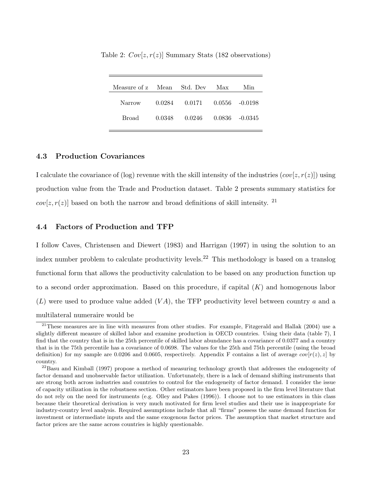| Measure of z Mean Std. Dev Max |        |                                      | Min |
|--------------------------------|--------|--------------------------------------|-----|
| Narrow                         |        | $0.0284$ $0.0171$ $0.0556$ $-0.0198$ |     |
| Broad                          | 0.0348 | $0.0246$ $0.0836$ $-0.0345$          |     |
|                                |        |                                      |     |

Table 2:  $Cov[z, r(z)]$  Summary Stats (182 observations)

#### 4.3 Production Covariances

I calculate the covariance of (log) revenue with the skill intensity of the industries  $(cov[z, r(z)])$  using production value from the Trade and Production dataset. Table 2 presents summary statistics for  $cov[z, r(z)]$  based on both the narrow and broad definitions of skill intensity. <sup>21</sup>

#### 4.4 Factors of Production and TFP

I follow Caves, Christensen and Diewert (1983) and Harrigan (1997) in using the solution to an index number problem to calculate productivity levels.<sup>22</sup> This methodology is based on a translog functional form that allows the productivity calculation to be based on any production function up to a second order approximation. Based on this procedure, if capital  $(K)$  and homogenous labor  $(L)$  were used to produce value added  $(VA)$ , the TFP productivity level between country a and a multilateral numeraire would be

<sup>&</sup>lt;sup>21</sup>These measures are in line with measures from other studies. For example, Fitzgerald and Hallak (2004) use a slightly different measure of skilled labor and examine production in OECD countries. Using their data (table 7), I find that the country that is in the 25th percentile of skilled labor abundance has a covariance of 0.0377 and a country that is in the 75th percentile has a covariance of 0.0698. The values for the 25th and 75th percentile (using the broad definition) for my sample are 0.0206 and 0.0605, respectively. Appendix F contains a list of average  $cov[r(z), z]$  by country.

 $22$ Basu and Kimball (1997) propose a method of measuring technology growth that addresses the endogeneity of factor demand and unobservable factor utilization. Unfortunately, there is a lack of demand shifting instruments that are strong both across industries and countries to control for the endogeneity of factor demand. I consider the issue of capacity utilization in the robustness section. Other estimators have been proposed in the firm level literature that do not rely on the need for instruments (e.g. Olley and Pakes (1996)). I choose not to use estimators in this class because their theoretical derivation is very much motivated for firm level studies and their use is inappropriate for industry-country level analysis. Required assumptions include that all "firms" possess the same demand function for investment or intermediate inputs and the same exogenous factor prices. The assumption that market structure and factor prices are the same across countries is highly questionable.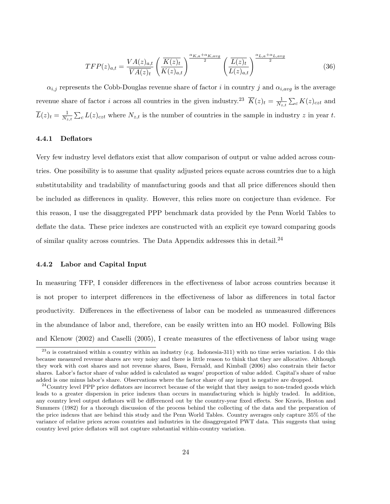$$
TFP(z)_{a,t} = \frac{VA(z)_{a,t}}{\overline{VA(z)}_t} \left(\frac{\overline{K(z)}_t}{K(z)_{a,t}}\right)^{\frac{\alpha_{K,a} + \alpha_{K,avg}}{2}} \left(\frac{\overline{L(z)}_t}{\overline{L(z)}_{a,t}}\right)^{\frac{\alpha_{L,a} + \alpha_{L,avg}}{2}}
$$
(36)

 $\alpha_{i,j}$  represents the Cobb-Douglas revenue share of factor i in country j and  $\alpha_{i,avg}$  is the average revenue share of factor *i* across all countries in the given industry.<sup>23</sup>  $\overline{K}(z)_t = \frac{1}{N_z}$  $\frac{1}{N_{z,t}}\sum_{c} K(z)_{czt}$  and  $\overline{L}(z)_t = \frac{1}{N_z}$  $\frac{1}{N_{z,t}}\sum_{c}L(z)_{czt}$  where  $N_{z,t}$  is the number of countries in the sample in industry z in year t.

#### 4.4.1 Deflators

Very few industry level deflators exist that allow comparison of output or value added across countries. One possibility is to assume that quality adjusted prices equate across countries due to a high substitutability and tradability of manufacturing goods and that all price differences should then be included as differences in quality. However, this relies more on conjecture than evidence. For this reason, I use the disaggregated PPP benchmark data provided by the Penn World Tables to deflate the data. These price indexes are constructed with an explicit eye toward comparing goods of similar quality across countries. The Data Appendix addresses this in detail.<sup>24</sup>

#### 4.4.2 Labor and Capital Input

In measuring TFP, I consider differences in the effectiveness of labor across countries because it is not proper to interpret differences in the effectiveness of labor as differences in total factor productivity. Differences in the effectiveness of labor can be modeled as unmeasured differences in the abundance of labor and, therefore, can be easily written into an HO model. Following Bils and Klenow (2002) and Caselli (2005), I create measures of the effectiveness of labor using wage

 $^{23}$  $\alpha$  is constrained within a country within an industry (e.g. Indonesia-311) with no time series variation. I do this because measured revenue shares are very noisy and there is little reason to think that they are allocative. Although they work with cost shares and not revenue shares, Basu, Fernald, and Kimball (2006) also constrain their factor shares. Labor's factor share of value added is calculated as wages' proportion of value added. Capital's share of value added is one minus labor's share. Observations where the factor share of any input is negative are dropped.

 $^{24}$ Country level PPP price deflators are incorrect because of the weight that they assign to non-traded goods which leads to a greater dispersion in price indexes than occurs in manufacturing which is highly traded. In addition, any country level output deflators will be differenced out by the country-year fixed effects. See Kravis, Heston and Summers (1982) for a thorough discussion of the process behind the collecting of the data and the preparation of the price indexes that are behind this study and the Penn World Tables. Country averages only capture 35% of the variance of relative prices across countries and industries in the disaggregated PWT data. This suggests that using country level price deflators will not capture substantial within-country variation.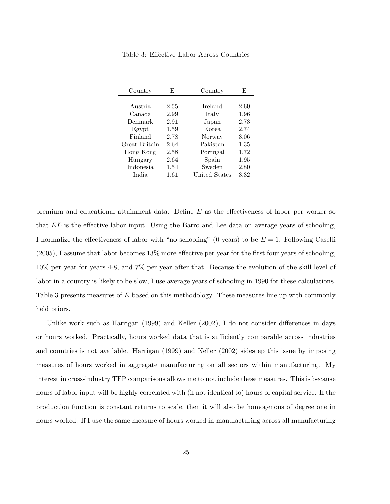| Country          | E,   | Country       | E    |
|------------------|------|---------------|------|
|                  |      |               |      |
| Austria          | 2.55 | Ireland       | 2.60 |
| Canada           | 2.99 | Italy         | 1.96 |
| Denmark          | 2.91 | Japan         | 2.73 |
| Egypt            | 1.59 | Korea         | 2.74 |
| Finland          | 2.78 | Norway        | 3.06 |
| Great Britain    | 2.64 | Pakistan      | 1.35 |
| Hong Kong        | 2.58 | Portugal      | 1.72 |
| Hungary          | 2.64 | Spain         | 1.95 |
| <i>Indonesia</i> | 1.54 | Sweden        | 2.80 |
| India            | 1.61 | United States | 3.32 |
|                  |      |               |      |

Table 3: Effective Labor Across Countries

premium and educational attainment data. Define E as the effectiveness of labor per worker so that EL is the effective labor input. Using the Barro and Lee data on average years of schooling, I normalize the effectiveness of labor with "no schooling" (0 years) to be  $E = 1$ . Following Caselli (2005), I assume that labor becomes 13% more effective per year for the first four years of schooling, 10% per year for years 4-8, and 7% per year after that. Because the evolution of the skill level of labor in a country is likely to be slow, I use average years of schooling in 1990 for these calculations. Table 3 presents measures of E based on this methodology. These measures line up with commonly held priors.

Unlike work such as Harrigan (1999) and Keller (2002), I do not consider differences in days or hours worked. Practically, hours worked data that is sufficiently comparable across industries and countries is not available. Harrigan (1999) and Keller (2002) sidestep this issue by imposing measures of hours worked in aggregate manufacturing on all sectors within manufacturing. My interest in cross-industry TFP comparisons allows me to not include these measures. This is because hours of labor input will be highly correlated with (if not identical to) hours of capital service. If the production function is constant returns to scale, then it will also be homogenous of degree one in hours worked. If I use the same measure of hours worked in manufacturing across all manufacturing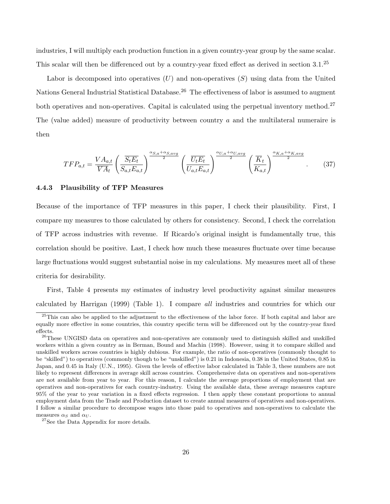industries, I will multiply each production function in a given country-year group by the same scalar. This scalar will then be differenced out by a country-year fixed effect as derived in section 3.1.<sup>25</sup>

Labor is decomposed into operatives  $(U)$  and non-operatives  $(S)$  using data from the United Nations General Industrial Statistical Database.<sup>26</sup> The effectiveness of labor is assumed to augment both operatives and non-operatives. Capital is calculated using the perpetual inventory method.<sup>27</sup> The (value added) measure of productivity between country  $a$  and the multilateral numeraire is then

$$
TFP_{a,t} = \frac{VA_{a,t}}{\overline{VA}_t} \left(\frac{\overline{S_t}E_t}{S_{a,t}E_{a,t}}\right)^{\frac{\alpha_{S,a} + \alpha_{S,avg}}{2}} \left(\frac{\overline{U_t}E_t}{U_{a,t}E_{a,t}}\right)^{\frac{\alpha_{U,a} + \alpha_{U,avg}}{2}} \left(\frac{\overline{K}_t}{K_{a,t}}\right)^{\frac{\alpha_{K,a} + \alpha_{K,avg}}{2}}.
$$
 (37)

#### 4.4.3 Plausibility of TFP Measures

Because of the importance of TFP measures in this paper, I check their plausibility. First, I compare my measures to those calculated by others for consistency. Second, I check the correlation of TFP across industries with revenue. If Ricardo's original insight is fundamentally true, this correlation should be positive. Last, I check how much these measures fluctuate over time because large fluctuations would suggest substantial noise in my calculations. My measures meet all of these criteria for desirability.

First, Table 4 presents my estimates of industry level productivity against similar measures calculated by Harrigan (1999) (Table 1). I compare all industries and countries for which our

<sup>&</sup>lt;sup>25</sup>This can also be applied to the adjustment to the effectiveness of the labor force. If both capital and labor are equally more effective in some countries, this country specific term will be differenced out by the country-year fixed effects.

<sup>&</sup>lt;sup>26</sup>These UNGISD data on operatives and non-operatives are commonly used to distinguish skilled and unskilled workers within a given country as in Berman, Bound and Machin (1998). However, using it to compare skilled and unskilled workers across countries is highly dubious. For example, the ratio of non-operatives (commonly thought to be "skilled") to operatives (commonly though to be "unskilled") is 0.21 in Indonesia, 0.38 in the United States, 0.85 in Japan, and 0.45 in Italy (U.N., 1995). Given the levels of effective labor calculated in Table 3, these numbers are not likely to represent differences in average skill across countries. Comprehensive data on operatives and non-operatives are not available from year to year. For this reason, I calculate the average proportions of employment that are operatives and non-operatives for each country-industry. Using the available data, these average measures capture 95% of the year to year variation in a fixed effects regression. I then apply these constant proportions to annual employment data from the Trade and Production dataset to create annual measures of operatives and non-operatives. I follow a similar procedure to decompose wages into those paid to operatives and non-operatives to calculate the measures  $\alpha_S$  and  $\alpha_U$ .

<sup>27</sup>See the Data Appendix for more details.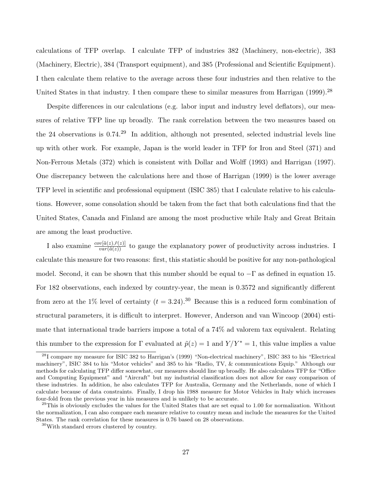calculations of TFP overlap. I calculate TFP of industries 382 (Machinery, non-electric), 383 (Machinery, Electric), 384 (Transport equipment), and 385 (Professional and Scientific Equipment). I then calculate them relative to the average across these four industries and then relative to the United States in that industry. I then compare these to similar measures from Harrigan  $(1999)^{28}$ 

Despite differences in our calculations (e.g. labor input and industry level deflators), our measures of relative TFP line up broadly. The rank correlation between the two measures based on the 24 observations is 0.74.<sup>29</sup> In addition, although not presented, selected industrial levels line up with other work. For example, Japan is the world leader in TFP for Iron and Steel (371) and Non-Ferrous Metals (372) which is consistent with Dollar and Wolff (1993) and Harrigan (1997). One discrepancy between the calculations here and those of Harrigan (1999) is the lower average TFP level in scientific and professional equipment (ISIC 385) that I calculate relative to his calculations. However, some consolation should be taken from the fact that both calculations find that the United States, Canada and Finland are among the most productive while Italy and Great Britain are among the least productive.

I also examine  $\frac{cov[\tilde{a}(z),\tilde{r}(z)]}{var(\tilde{a}(z))}$  to gauge the explanatory power of productivity across industries. I calculate this measure for two reasons: first, this statistic should be positive for any non-pathological model. Second, it can be shown that this number should be equal to  $-\Gamma$  as defined in equation 15. For 182 observations, each indexed by country-year, the mean is 0.3572 and significantly different from zero at the 1% level of certainty  $(t = 3.24)$ .<sup>30</sup> Because this is a reduced form combination of structural parameters, it is difficult to interpret. However, Anderson and van Wincoop (2004) estimate that international trade barriers impose a total of a 74% ad valorem tax equivalent. Relating this number to the expression for Γ evaluated at  $\tilde{p}(z) = 1$  and  $Y/Y^* = 1$ , this value implies a value

<sup>28</sup>I compare my measure for ISIC 382 to Harrigan's (1999) "Non-electrical machinery", ISIC 383 to his "Electrical machinery", ISIC 384 to his "Motor vehicles" and 385 to his "Radio, TV, & communications Equip." Although our methods for calculating TFP differ somewhat, our measures should line up broadly. He also calculates TFP for "Office and Computing Equipment" and "Aircraft" but my industrial classification does not allow for easy comparison of these industries. In addition, he also calculates TFP for Australia, Germany and the Netherlands, none of which I calculate because of data constraints. Finally, I drop his 1988 measure for Motor Vehicles in Italy which increases four-fold from the previous year in his measures and is unlikely to be accurate.

 $^{29}$ This is obviously excludes the values for the United States that are set equal to 1.00 for normalization. Without the normalization, I can also compare each measure relative to country mean and include the measures for the United States. The rank correlation for these measures is 0.76 based on 28 observations.

<sup>30</sup>With standard errors clustered by country.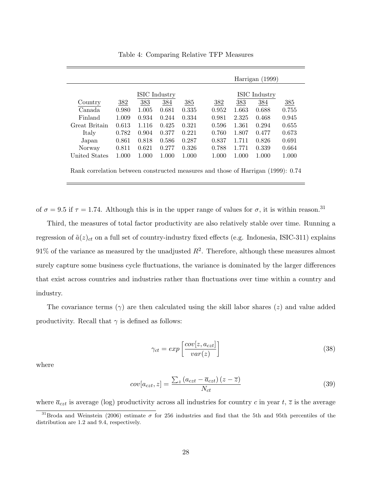|               |       |       | ISIC Industry |       |       |       | <b>ISIC</b> Industry |       |
|---------------|-------|-------|---------------|-------|-------|-------|----------------------|-------|
| Country       | 382   | 383   | 384           | 385   | 382   | 383   | 384                  | 385   |
| Canada        | 0.980 | 1.005 | 0.681         | 0.335 | 0.952 | 1.663 | 0.688                | 0.755 |
| Finland       | 1.009 | 0.934 | 0.244         | 0.334 | 0.981 | 2.325 | 0.468                | 0.945 |
| Great Britain | 0.613 | 1.116 | 0.425         | 0.321 | 0.596 | 1.361 | 0.294                | 0.655 |
| Italy         | 0.782 | 0.904 | 0.377         | 0.221 | 0.760 | 1.807 | 0.477                | 0.673 |
| Japan         | 0.861 | 0.818 | 0.586         | 0.287 | 0.837 | 1.711 | 0.826                | 0.691 |
| Norway        | 0.811 | 0.621 | 0.277         | 0.326 | 0.788 | 1.771 | 0.339                | 0.664 |
| United States | 1.000 | 1.000 | 1.000         | 1.000 | 1.000 | 1.000 | 1.000                | 1.000 |

Table 4: Comparing Relative TFP Measures

of  $\sigma = 9.5$  if  $\tau = 1.74$ . Although this is in the upper range of values for  $\sigma$ , it is within reason.<sup>31</sup>

Third, the measures of total factor productivity are also relatively stable over time. Running a regression of  $\tilde{a}(z)_{ct}$  on a full set of country-industry fixed effects (e.g. Indonesia, ISIC-311) explains 91% of the variance as measured by the unadjusted  $R^2$ . Therefore, although these measures almost surely capture some business cycle fluctuations, the variance is dominated by the larger differences that exist across countries and industries rather than fluctuations over time within a country and industry.

The covariance terms  $(\gamma)$  are then calculated using the skill labor shares (*z*) and value added productivity. Recall that  $\gamma$  is defined as follows:

$$
\gamma_{ct} = exp\left[\frac{cov[z, a_{czt}]}{var(z)}\right]
$$
\n(38)

where

$$
cov[a_{czt}, z] = \frac{\sum_{z} (a_{czt} - \overline{a}_{czt}) (z - \overline{z})}{N_{ct}}
$$
(39)

where  $\bar{a}_{czt}$  is average (log) productivity across all industries for country c in year t,  $\bar{z}$  is the average

<sup>&</sup>lt;sup>31</sup>Broda and Weinstein (2006) estimate  $\sigma$  for 256 industries and find that the 5th and 95th percentiles of the distribution are 1.2 and 9.4, respectively.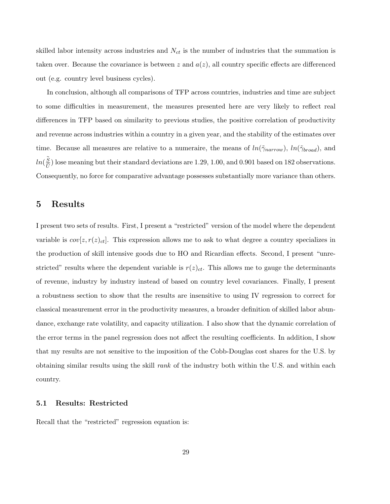skilled labor intensity across industries and  $N_{ct}$  is the number of industries that the summation is taken over. Because the covariance is between z and  $a(z)$ , all country specific effects are differenced out (e.g. country level business cycles).

In conclusion, although all comparisons of TFP across countries, industries and time are subject to some difficulties in measurement, the measures presented here are very likely to reflect real differences in TFP based on similarity to previous studies, the positive correlation of productivity and revenue across industries within a country in a given year, and the stability of the estimates over time. Because all measures are relative to a numeraire, the means of  $ln(\tilde{\gamma}_{narrow})$ ,  $ln(\tilde{\gamma}_{broad})$ , and  $ln(\frac{\tilde{S}}{\tilde{H}}$  $\frac{S}{U}$ ) lose meaning but their standard deviations are 1.29, 1.00, and 0.901 based on 182 observations. Consequently, no force for comparative advantage possesses substantially more variance than others.

### 5 Results

I present two sets of results. First, I present a "restricted" version of the model where the dependent variable is  $cov[z, r(z)_{ct}]$ . This expression allows me to ask to what degree a country specializes in the production of skill intensive goods due to HO and Ricardian effects. Second, I present "unrestricted" results where the dependent variable is  $r(z)_{ct}$ . This allows me to gauge the determinants of revenue, industry by industry instead of based on country level covariances. Finally, I present a robustness section to show that the results are insensitive to using IV regression to correct for classical measurement error in the productivity measures, a broader definition of skilled labor abundance, exchange rate volatility, and capacity utilization. I also show that the dynamic correlation of the error terms in the panel regression does not affect the resulting coefficients. In addition, I show that my results are not sensitive to the imposition of the Cobb-Douglas cost shares for the U.S. by obtaining similar results using the skill rank of the industry both within the U.S. and within each country.

#### 5.1 Results: Restricted

Recall that the "restricted" regression equation is: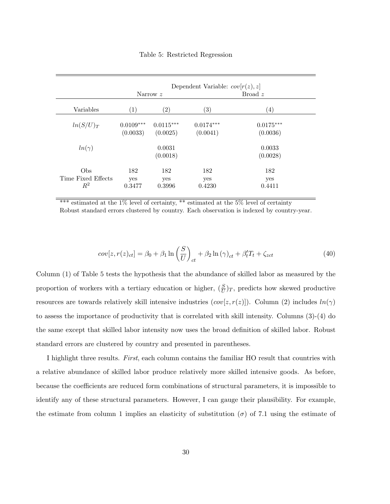|                                      | Dependent Variable: $cov[r(z), z]$ |                         |                         |                         |  |  |  |  |
|--------------------------------------|------------------------------------|-------------------------|-------------------------|-------------------------|--|--|--|--|
|                                      |                                    | Narrow z                |                         | Broad $z$               |  |  |  |  |
| Variables                            | (1)                                | $\left( 2\right)$       | $\left( 3\right)$       | $\left( 4\right)$       |  |  |  |  |
| $ln(S/U)_T$                          | $0.0109***$<br>(0.0033)            | $0.0115***$<br>(0.0025) | $0.0174***$<br>(0.0041) | $0.0175***$<br>(0.0036) |  |  |  |  |
| $ln(\gamma)$                         |                                    | 0.0031<br>(0.0018)      |                         | 0.0033<br>(0.0028)      |  |  |  |  |
| Obs<br>Time Fixed Effects<br>$\,R^2$ | 182<br>yes<br>0.3477               | 182<br>yes<br>0.3996    | 182<br>yes<br>0.4230    | 182<br>yes<br>0.4411    |  |  |  |  |

Table 5: Restricted Regression

\*\*\* estimated at the  $1\%$  level of certainty, \*\* estimated at the  $5\%$  level of certainty Robust standard errors clustered by country. Each observation is indexed by country-year.

$$
cov[z, r(z)_{ct}] = \beta_0 + \beta_1 \ln\left(\frac{S}{U}\right)_{ct} + \beta_2 \ln(\gamma)_{ct} + \beta'_t T_t + \zeta_{zct}
$$
\n(40)

Column (1) of Table 5 tests the hypothesis that the abundance of skilled labor as measured by the proportion of workers with a tertiary education or higher,  $(\frac{S}{U})_T$ , predicts how skewed productive resources are towards relatively skill intensive industries  $(cov[z, r(z)])$ . Column (2) includes  $ln(\gamma)$ to assess the importance of productivity that is correlated with skill intensity. Columns (3)-(4) do the same except that skilled labor intensity now uses the broad definition of skilled labor. Robust standard errors are clustered by country and presented in parentheses.

I highlight three results. First, each column contains the familiar HO result that countries with a relative abundance of skilled labor produce relatively more skilled intensive goods. As before, because the coefficients are reduced form combinations of structural parameters, it is impossible to identify any of these structural parameters. However, I can gauge their plausibility. For example, the estimate from column 1 implies an elasticity of substitution ( $\sigma$ ) of 7.1 using the estimate of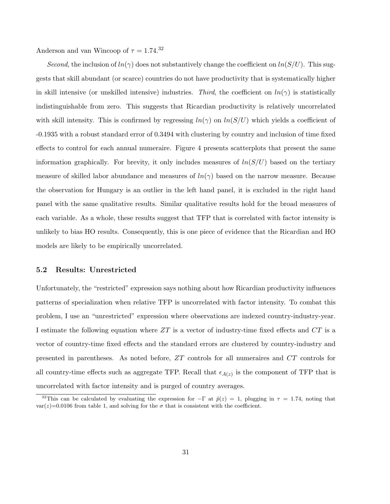Anderson and van Wincoop of  $\tau = 1.74$ <sup>32</sup>

Second, the inclusion of  $ln(\gamma)$  does not substantively change the coefficient on  $ln(S/U)$ . This suggests that skill abundant (or scarce) countries do not have productivity that is systematically higher in skill intensive (or unskilled intensive) industries. Third, the coefficient on  $ln(\gamma)$  is statistically indistinguishable from zero. This suggests that Ricardian productivity is relatively uncorrelated with skill intensity. This is confirmed by regressing  $ln(\gamma)$  on  $ln(S/U)$  which yields a coefficient of -0.1935 with a robust standard error of 0.3494 with clustering by country and inclusion of time fixed effects to control for each annual numeraire. Figure 4 presents scatterplots that present the same information graphically. For brevity, it only includes measures of  $ln(S/U)$  based on the tertiary measure of skilled labor abundance and measures of  $ln(\gamma)$  based on the narrow measure. Because the observation for Hungary is an outlier in the left hand panel, it is excluded in the right hand panel with the same qualitative results. Similar qualitative results hold for the broad measures of each variable. As a whole, these results suggest that TFP that is correlated with factor intensity is unlikely to bias HO results. Consequently, this is one piece of evidence that the Ricardian and HO models are likely to be empirically uncorrelated.

#### 5.2 Results: Unrestricted

Unfortunately, the "restricted" expression says nothing about how Ricardian productivity influences patterns of specialization when relative TFP is uncorrelated with factor intensity. To combat this problem, I use an "unrestricted" expression where observations are indexed country-industry-year. I estimate the following equation where  $ZT$  is a vector of industry-time fixed effects and  $CT$  is a vector of country-time fixed effects and the standard errors are clustered by country-industry and presented in parentheses. As noted before, ZT controls for all numeraires and CT controls for all country-time effects such as aggregate TFP. Recall that  $\epsilon_{A(z)}$  is the component of TFP that is uncorrelated with factor intensity and is purged of country averages.

<sup>&</sup>lt;sup>32</sup>This can be calculated by evaluating the expression for  $-\Gamma$  at  $\tilde{p}(z) = 1$ , plugging in  $\tau = 1.74$ , noting that  $var(z)=0.0106$  from table 1, and solving for the  $\sigma$  that is consistent with the coefficient.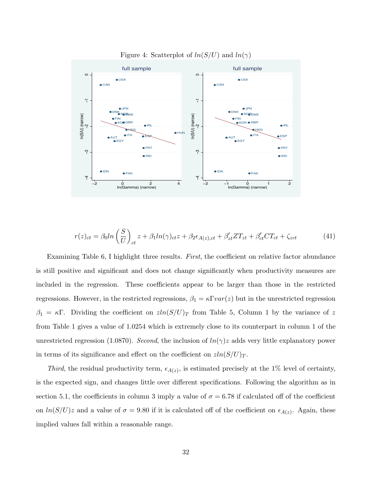![](_page_32_Figure_0.jpeg)

Figure 4: Scatterplot of  $ln(S/U)$  and  $ln(\gamma)$ 

$$
r(z)_{ct} = \beta_0 ln\left(\frac{S}{U}\right)_{ct} z + \beta_1 ln(\gamma)_{ct} z + \beta_2 \epsilon_{A(z),ct} + \beta'_{zt} Z T_{zt} + \beta'_{ct} C T_{ct} + \zeta_{zct}
$$
(41)

Examining Table 6, I highlight three results. First, the coefficient on relative factor abundance is still positive and significant and does not change significantly when productivity measures are included in the regression. These coefficients appear to be larger than those in the restricted regressions. However, in the restricted regressions,  $\beta_1 = \kappa \Gamma var(z)$  but in the unrestricted regression  $\beta_1 = \kappa \Gamma$ . Dividing the coefficient on  $\sin(S/U)_T$  from Table 5, Column 1 by the variance of z from Table 1 gives a value of 1.0254 which is extremely close to its counterpart in column 1 of the unrestricted regression (1.0870). Second, the inclusion of  $ln(\gamma)z$  adds very little explanatory power in terms of its significance and effect on the coefficient on  $z\ln(S/U)_T$ .

Third, the residual productivity term,  $\epsilon_{A(z)}$ , is estimated precisely at the 1% level of certainty, is the expected sign, and changes little over different specifications. Following the algorithm as in section 5.1, the coefficients in column 3 imply a value of  $\sigma = 6.78$  if calculated off of the coefficient on  $ln(S/U)z$  and a value of  $\sigma = 9.80$  if it is calculated off of the coefficient on  $\epsilon_{A(z)}$ . Again, these implied values fall within a reasonable range.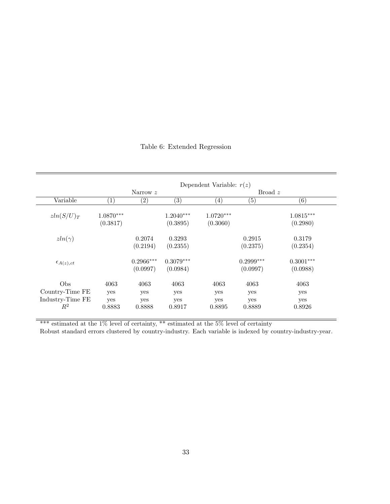|                      |                   |             |                   | Dependent Variable: $r(z)$ |                   |             |
|----------------------|-------------------|-------------|-------------------|----------------------------|-------------------|-------------|
|                      |                   | Narrow z    |                   |                            | Broad $z$         |             |
| Variable             | $\left( 1\right)$ | (2)         | $\left( 3\right)$ | $\left( 4\right)$          | $\left( 5\right)$ | (6)         |
| $zln(S/U)_T$         | $1.0870***$       |             | $1.2040***$       | $1.0720***$                |                   | $1.0815***$ |
|                      | (0.3817)          |             | (0.3895)          | (0.3060)                   |                   | (0.2980)    |
| $zln(\gamma)$        |                   | 0.2074      | 0.3293            |                            | 0.2915            | 0.3179      |
|                      |                   | (0.2194)    | (0.2355)          |                            | (0.2375)          | (0.2354)    |
| $\epsilon_{A(z),ct}$ |                   | $0.2966***$ | $0.3079***$       |                            | $0.2999***$       | $0.3001***$ |
|                      |                   | (0.0997)    | (0.0984)          |                            | (0.0997)          | (0.0988)    |
| O <sub>bs</sub>      | 4063              | 4063        | 4063              | 4063                       | 4063              | 4063        |
| Country-Time FE      | yes               | yes         | yes               | yes                        | yes               | yes         |
| Industry-Time FE     | yes               | yes         | yes               | yes                        | yes               | yes         |
| $\mathbb{R}^2$       | 0.8883            | 0.8888      | 0.8917            | 0.8895                     | 0.8889            | 0.8926      |

### Table 6: Extended Regression

\*\*\* estimated at the 1% level of certainty, \*\* estimated at the 5% level of certainty

Robust standard errors clustered by country-industry. Each variable is indexed by country-industry-year.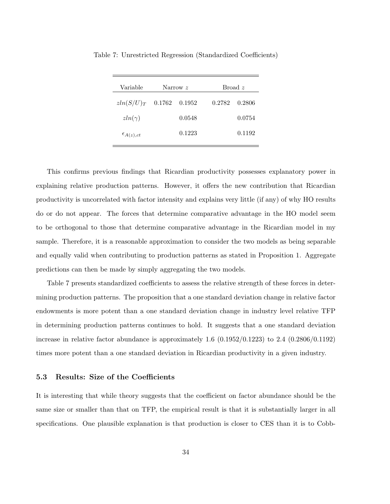| Variable             |        | Narrow z |        | Broad z |
|----------------------|--------|----------|--------|---------|
| $zln(S/U)_T$         | 0.1762 | 0.1952   | 0.2782 | 0.2806  |
| $zln(\gamma)$        |        | 0.0548   |        | 0.0754  |
| $\epsilon_{A(z),ct}$ |        | 0.1223   |        | 0.1192  |

Table 7: Unrestricted Regression (Standardized Coefficients)

This confirms previous findings that Ricardian productivity possesses explanatory power in explaining relative production patterns. However, it offers the new contribution that Ricardian productivity is uncorrelated with factor intensity and explains very little (if any) of why HO results do or do not appear. The forces that determine comparative advantage in the HO model seem to be orthogonal to those that determine comparative advantage in the Ricardian model in my sample. Therefore, it is a reasonable approximation to consider the two models as being separable and equally valid when contributing to production patterns as stated in Proposition 1. Aggregate predictions can then be made by simply aggregating the two models.

Table 7 presents standardized coefficients to assess the relative strength of these forces in determining production patterns. The proposition that a one standard deviation change in relative factor endowments is more potent than a one standard deviation change in industry level relative TFP in determining production patterns continues to hold. It suggests that a one standard deviation increase in relative factor abundance is approximately 1.6  $(0.1952/0.1223)$  to 2.4  $(0.2806/0.1192)$ times more potent than a one standard deviation in Ricardian productivity in a given industry.

#### 5.3 Results: Size of the Coefficients

It is interesting that while theory suggests that the coefficient on factor abundance should be the same size or smaller than that on TFP, the empirical result is that it is substantially larger in all specifications. One plausible explanation is that production is closer to CES than it is to Cobb-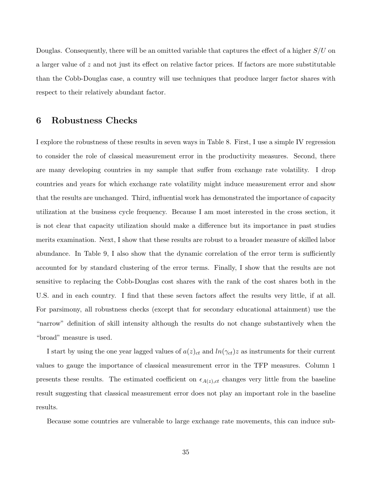Douglas. Consequently, there will be an omitted variable that captures the effect of a higher  $S/U$  on a larger value of z and not just its effect on relative factor prices. If factors are more substitutable than the Cobb-Douglas case, a country will use techniques that produce larger factor shares with respect to their relatively abundant factor.

### 6 Robustness Checks

I explore the robustness of these results in seven ways in Table 8. First, I use a simple IV regression to consider the role of classical measurement error in the productivity measures. Second, there are many developing countries in my sample that suffer from exchange rate volatility. I drop countries and years for which exchange rate volatility might induce measurement error and show that the results are unchanged. Third, influential work has demonstrated the importance of capacity utilization at the business cycle frequency. Because I am most interested in the cross section, it is not clear that capacity utilization should make a difference but its importance in past studies merits examination. Next, I show that these results are robust to a broader measure of skilled labor abundance. In Table 9, I also show that the dynamic correlation of the error term is sufficiently accounted for by standard clustering of the error terms. Finally, I show that the results are not sensitive to replacing the Cobb-Douglas cost shares with the rank of the cost shares both in the U.S. and in each country. I find that these seven factors affect the results very little, if at all. For parsimony, all robustness checks (except that for secondary educational attainment) use the "narrow" definition of skill intensity although the results do not change substantively when the "broad" measure is used.

I start by using the one year lagged values of  $a(z)_{ct}$  and  $\ln(\gamma_{ct})z$  as instruments for their current values to gauge the importance of classical measurement error in the TFP measures. Column 1 presents these results. The estimated coefficient on  $\epsilon_{A(z),ct}$  changes very little from the baseline result suggesting that classical measurement error does not play an important role in the baseline results.

Because some countries are vulnerable to large exchange rate movements, this can induce sub-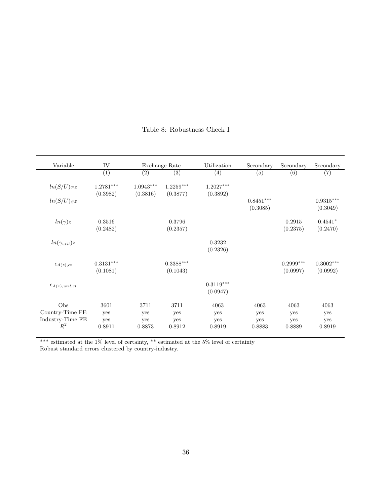| Variable                                            | IV                                  |                                     | Exchange Rate                | Utilization                  | Secondary                    | Secondary                    | Secondary                    |
|-----------------------------------------------------|-------------------------------------|-------------------------------------|------------------------------|------------------------------|------------------------------|------------------------------|------------------------------|
|                                                     | $\overline{(1)}$                    | (2)                                 | $\left( 3\right)$            | (4)                          | (5)                          | (6)                          | (7)                          |
| $ln(S/U)_Tz$                                        | $1.2781***$<br>(0.3982)             | $1.0943^{\ast\ast\ast}$<br>(0.3816) | $1.2259***$<br>(0.3877)      | $1.2027***$<br>(0.3892)      |                              |                              |                              |
| $ln(S/U)_{S}z$                                      |                                     |                                     |                              |                              | $0.8451***$<br>(0.3085)      |                              | $0.9315***$<br>(0.3049)      |
| $ln(\gamma)z$                                       | 0.3516<br>(0.2482)                  |                                     | 0.3796<br>(0.2357)           |                              |                              | 0.2915<br>(0.2375)           | $0.4541*$<br>(0.2470)        |
| $ln(\gamma_{util})z$                                |                                     |                                     |                              | 0.3232<br>(0.2326)           |                              |                              |                              |
| $\epsilon_{A(z),ct}$                                | $0.3131^{\ast\ast\ast}$<br>(0.1081) |                                     | $0.3388***$<br>(0.1043)      |                              |                              | $0.2999***$<br>(0.0997)      | $0.3002***$<br>(0.0992)      |
| $\epsilon_{A(z),util,ct}$                           |                                     |                                     |                              | $0.3119***$<br>(0.0947)      |                              |                              |                              |
| Obs<br>Country-Time FE<br>Industry-Time FE<br>$R^2$ | 3601<br>yes<br>yes<br>0.8911        | 3711<br>yes<br>yes<br>0.8873        | 3711<br>yes<br>yes<br>0.8912 | 4063<br>yes<br>yes<br>0.8919 | 4063<br>yes<br>yes<br>0.8883 | 4063<br>yes<br>yes<br>0.8889 | 4063<br>yes<br>yes<br>0.8919 |

Table 8: Robustness Check I

\*\*\* estimated at the 1% level of certainty, \*\* estimated at the 5% level of certainty

Robust standard errors clustered by country-industry.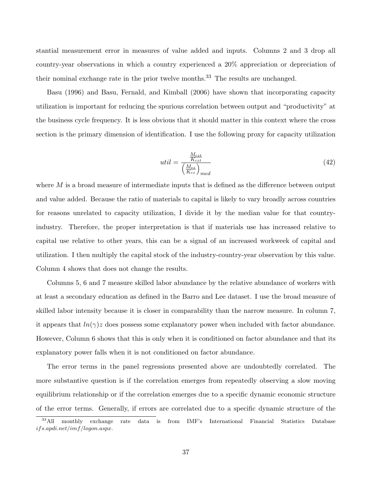stantial measurement error in measures of value added and inputs. Columns 2 and 3 drop all country-year observations in which a country experienced a 20% appreciation or depreciation of their nominal exchange rate in the prior twelve months.<sup>33</sup> The results are unchanged.

Basu (1996) and Basu, Fernald, and Kimball (2006) have shown that incorporating capacity utilization is important for reducing the spurious correlation between output and "productivity" at the business cycle frequency. It is less obvious that it should matter in this context where the cross section is the primary dimension of identification. I use the following proxy for capacity utilization

$$
util = \frac{\frac{M_{czt}}{K_{czt}}}{\left(\frac{M_{cz}}{K_{cz}}\right)_{med}}
$$
\n(42)

where  $M$  is a broad measure of intermediate inputs that is defined as the difference between output and value added. Because the ratio of materials to capital is likely to vary broadly across countries for reasons unrelated to capacity utilization, I divide it by the median value for that countryindustry. Therefore, the proper interpretation is that if materials use has increased relative to capital use relative to other years, this can be a signal of an increased workweek of capital and utilization. I then multiply the capital stock of the industry-country-year observation by this value. Column 4 shows that does not change the results.

Columns 5, 6 and 7 measure skilled labor abundance by the relative abundance of workers with at least a secondary education as defined in the Barro and Lee dataset. I use the broad measure of skilled labor intensity because it is closer in comparability than the narrow measure. In column 7, it appears that  $ln(\gamma)z$  does possess some explanatory power when included with factor abundance. However, Column 6 shows that this is only when it is conditioned on factor abundance and that its explanatory power falls when it is not conditioned on factor abundance.

The error terms in the panel regressions presented above are undoubtedly correlated. The more substantive question is if the correlation emerges from repeatedly observing a slow moving equilibrium relationship or if the correlation emerges due to a specific dynamic economic structure of the error terms. Generally, if errors are correlated due to a specific dynamic structure of the

<sup>&</sup>lt;sup>33</sup>All monthly exchange rate data is from IMF's International Financial Statistics Database ifs.apdi.net/imf /logon.aspx.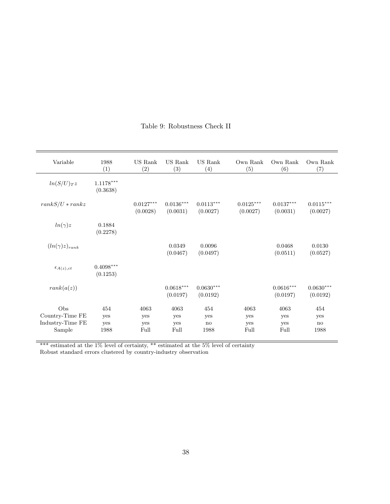| Variable                   | 1988<br>(1)             | US Rank<br>(2)          | US Rank<br>(3)          | US Rank<br>(4)          | Own Rank<br>(5)         | Own Rank<br>(6)         | Own Rank<br>(7)         |
|----------------------------|-------------------------|-------------------------|-------------------------|-------------------------|-------------------------|-------------------------|-------------------------|
| $ln(S/U)_{T}z$             | $1.1178***$<br>(0.3638) |                         |                         |                         |                         |                         |                         |
| $rankS/U*rankz$            |                         | $0.0127***$<br>(0.0028) | $0.0136***$<br>(0.0031) | $0.0113***$<br>(0.0027) | $0.0125***$<br>(0.0027) | $0.0137***$<br>(0.0031) | $0.0115***$<br>(0.0027) |
| $ln(\gamma)z$              | 0.1884<br>(0.2278)      |                         |                         |                         |                         |                         |                         |
| $(ln(\gamma)z)_{rank}$     |                         |                         | 0.0349<br>(0.0467)      | 0.0096<br>(0.0497)      |                         | 0.0468<br>(0.0511)      | 0.0130<br>(0.0527)      |
| $\epsilon_{A(z),ct}$       | $0.4098***$<br>(0.1253) |                         |                         |                         |                         |                         |                         |
| rank(a(z))                 |                         |                         | $0.0618***$<br>(0.0197) | $0.0630***$<br>(0.0192) |                         | $0.0616***$<br>(0.0197) | $0.0630***$<br>(0.0192) |
| Obs<br>Country-Time FE     | 454<br>yes              | 4063<br>yes             | 4063<br>yes             | 454<br>yes              | 4063<br>yes             | 4063<br>yes             | 454<br>yes              |
| Industry-Time FE<br>Sample | yes<br>1988             | yes<br>Full             | yes<br>Full             | no<br>1988              | yes<br>Full             | yes<br>Full             | no<br>1988              |

### Table 9: Robustness Check II

\*\*\* estimated at the 1% level of certainty, \*\* estimated at the 5% level of certainty

Robust standard errors clustered by country-industry observation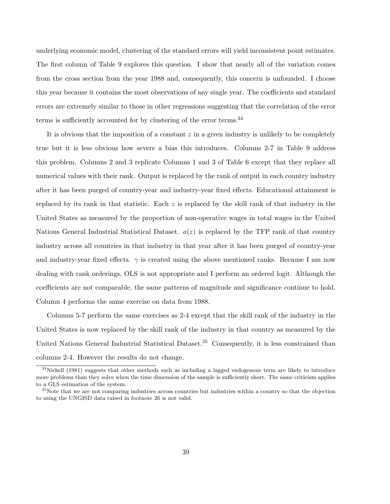underlying economic model, clustering of the standard errors will yield inconsistent point estimates. The first column of Table 9 explores this question. I show that nearly all of the variation comes from the cross section from the year 1988 and, consequently, this concern is unfounded. I choose this year because it contains the most observations of any single year. The coefficients and standard errors are extremely similar to those in other regressions suggesting that the correlation of the error terms is sufficiently accounted for by clustering of the error terms.<sup>34</sup>

It is obvious that the imposition of a constant  $z$  in a given industry is unlikely to be completely true but it is less obvious how severe a bias this introduces. Columns 2-7 in Table 9 address this problem. Columns 2 and 3 replicate Columns 1 and 3 of Table 6 except that they replace all numerical values with their rank. Output is replaced by the rank of output in each country industry after it has been purged of country-year and industry-year fixed effects. Educational attainment is replaced by its rank in that statistic. Each z is replaced by the skill rank of that industry in the United States as measured by the proportion of non-operative wages in total wages in the United Nations General Industrial Statistical Dataset.  $a(z)$  is replaced by the TFP rank of that country industry across all countries in that industry in that year after it has been purged of country-year and industry-year fixed effects.  $\gamma$  is created using the above mentioned ranks. Because I am now dealing with rank orderings, OLS is not appropriate and I perform an ordered logit. Although the coefficients are not comparable, the same patterns of magnitude and significance continue to hold. Column 4 performs the same exercise on data from 1988.

Columns 5-7 perform the same exercises as 2-4 except that the skill rank of the industry in the United States is now replaced by the skill rank of the industry in that country as measured by the United Nations General Industrial Statistical Dataset.<sup>35</sup> Consequently, it is less constrained than columns 2-4. However the results do not change.

<sup>&</sup>lt;sup>34</sup>Nickell (1981) suggests that other methods such as including a lagged endogenous term are likely to introduce more problems than they solve when the time dimension of the sample is sufficiently short. The same criticism applies to a GLS estimation of the system.

<sup>&</sup>lt;sup>35</sup>Note that we are not comparing industries across countries but industries within a country so that the objection to using the UNGISD data raised in footnote 26 is not valid.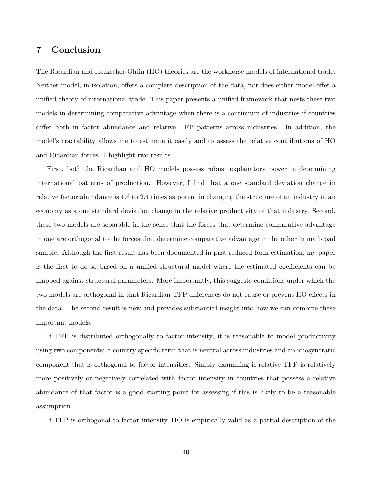### 7 Conclusion

The Ricardian and Heckscher-Ohlin (HO) theories are the workhorse models of international trade. Neither model, in isolation, offers a complete description of the data, nor does either model offer a unified theory of international trade. This paper presents a unified framework that nests these two models in determining comparative advantage when there is a continuum of industries if countries differ both in factor abundance and relative TFP patterns across industries. In addition, the model's tractability allows me to estimate it easily and to assess the relative contributions of HO and Ricardian forces. I highlight two results.

First, both the Ricardian and HO models possess robust explanatory power in determining international patterns of production. However, I find that a one standard deviation change in relative factor abundance is 1.6 to 2.4 times as potent in changing the structure of an industry in an economy as a one standard deviation change in the relative productivity of that industry. Second, these two models are separable in the sense that the forces that determine comparative advantage in one are orthogonal to the forces that determine comparative advantage in the other in my broad sample. Although the first result has been documented in past reduced form estimation, my paper is the first to do so based on a unified structural model where the estimated coefficients can be mapped against structural parameters. More importantly, this suggests conditions under which the two models are orthogonal in that Ricardian TFP differences do not cause or prevent HO effects in the data. The second result is new and provides substantial insight into how we can combine these important models.

If TFP is distributed orthogonally to factor intensity, it is reasonable to model productivity using two components: a country specific term that is neutral across industries and an idiosyncratic component that is orthogonal to factor intensities. Simply examining if relative TFP is relatively more positively or negatively correlated with factor intensity in countries that possess a relative abundance of that factor is a good starting point for assessing if this is likely to be a reasonable assumption.

If TFP is orthogonal to factor intensity, HO is empirically valid as a partial description of the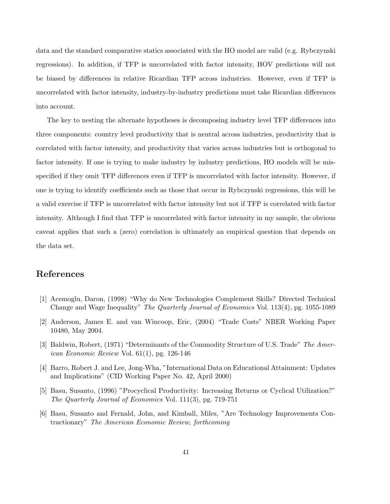data and the standard comparative statics associated with the HO model are valid (e.g. Rybczynski regressions). In addition, if TFP is uncorrelated with factor intensity, HOV predictions will not be biased by differences in relative Ricardian TFP across industries. However, even if TFP is uncorrelated with factor intensity, industry-by-industry predictions must take Ricardian differences into account.

The key to nesting the alternate hypotheses is decomposing industry level TFP differences into three components: country level productivity that is neutral across industries, productivity that is correlated with factor intensity, and productivity that varies across industries but is orthogonal to factor intensity. If one is trying to make industry by industry predictions, HO models will be misspecified if they omit TFP differences even if TFP is uncorrelated with factor intensity. However, if one is trying to identify coefficients such as those that occur in Rybczynski regressions, this will be a valid exercise if TFP is uncorrelated with factor intensity but not if TFP is correlated with factor intensity. Although I find that TFP is uncorrelated with factor intensity in my sample, the obvious caveat applies that such a (zero) correlation is ultimately an empirical question that depends on the data set.

# References

- [1] Acemoglu, Daron, (1998) "Why do New Technologies Complement Skills? Directed Technical Change and Wage Inequality" The Quarterly Journal of Economics Vol. 113(4), pg. 1055-1089
- [2] Anderson, James E. and van Wincoop, Eric, (2004) "Trade Costs" NBER Working Paper 10480, May 2004.
- [3] Baldwin, Robert, (1971) "Determinants of the Commodity Structure of U.S. Trade" The American Economic Review Vol. 61(1), pg. 126-146
- [4] Barro, Robert J. and Lee, Jong-Wha, "International Data on Educational Attainment: Updates and Implications" (CID Working Paper No. 42, April 2000)
- [5] Basu, Susanto, (1996) "Procyclical Productivity: Increasing Returns or Cyclical Utilization?" The Quarterly Journal of Economics Vol. 111(3), pg. 719-751
- [6] Basu, Susanto and Fernald, John, and Kimball, Miles, "Are Technology Improvements Contractionary" The American Economic Review, forthcoming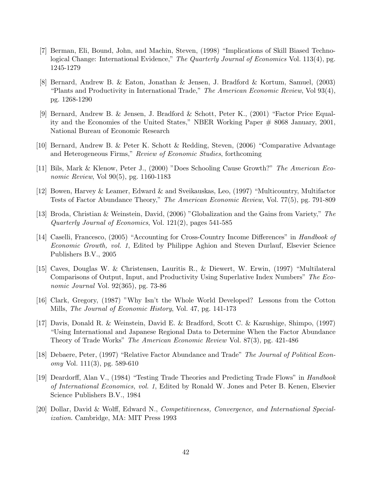- [7] Berman, Eli, Bound, John, and Machin, Steven, (1998) "Implications of Skill Biased Technological Change: International Evidence," The Quarterly Journal of Economics Vol. 113(4), pg. 1245-1279
- [8] Bernard, Andrew B. & Eaton, Jonathan & Jensen, J. Bradford & Kortum, Samuel, (2003) "Plants and Productivity in International Trade," The American Economic Review, Vol 93(4), pg. 1268-1290
- [9] Bernard, Andrew B. & Jensen, J. Bradford & Schott, Peter K., (2001) "Factor Price Equality and the Economies of the United States," NBER Working Paper # 8068 January, 2001, National Bureau of Economic Research
- [10] Bernard, Andrew B. & Peter K. Schott & Redding, Steven, (2006) "Comparative Advantage and Heterogeneous Firms," Review of Economic Studies, forthcoming
- [11] Bils, Mark & Klenow, Peter J., (2000) "Does Schooling Cause Growth?" The American Economic Review, Vol 90(5), pg. 1160-1183
- [12] Bowen, Harvey & Leamer, Edward & and Sveikauskas, Leo, (1997) "Multicountry, Multifactor Tests of Factor Abundance Theory," The American Economic Review, Vol. 77(5), pg. 791-809
- [13] Broda, Christian & Weinstein, David, (2006) "Globalization and the Gains from Variety," The Quarterly Journal of Economics, Vol. 121(2), pages 541-585
- [14] Caselli, Francesco, (2005) "Accounting for Cross-Country Income Differences" in Handbook of Economic Growth, vol. 1, Edited by Philippe Aghion and Steven Durlauf, Elsevier Science Publishers B.V., 2005
- [15] Caves, Douglas W. & Christensen, Lauritis R., & Diewert, W. Erwin, (1997) "Multilateral Comparisons of Output, Input, and Productivity Using Superlative Index Numbers" The Economic Journal Vol. 92(365), pg. 73-86
- [16] Clark, Gregory, (1987) "Why Isn't the Whole World Developed? Lessons from the Cotton Mills, The Journal of Economic History, Vol. 47, pg. 141-173
- [17] Davis, Donald R. & Weinstein, David E. & Bradford, Scott C. & Kazushige, Shimpo, (1997) "Using International and Japanese Regional Data to Determine When the Factor Abundance Theory of Trade Works" The American Economic Review Vol. 87(3), pg. 421-486
- [18] Debaere, Peter, (1997) "Relative Factor Abundance and Trade" The Journal of Political Economy Vol. 111(3), pg. 589-610
- [19] Deardorff, Alan V., (1984) "Testing Trade Theories and Predicting Trade Flows" in Handbook of International Economics, vol. 1, Edited by Ronald W. Jones and Peter B. Kenen, Elsevier Science Publishers B.V., 1984
- [20] Dollar, David & Wolff, Edward N., Competitiveness, Convergence, and International Specialization. Cambridge, MA: MIT Press 1993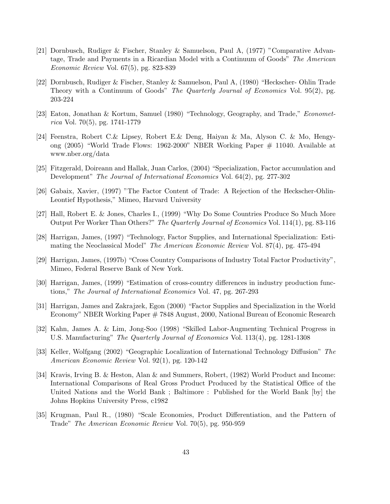- [21] Dornbusch, Rudiger & Fischer, Stanley & Samuelson, Paul A, (1977) "Comparative Advantage, Trade and Payments in a Ricardian Model with a Continuum of Goods" The American Economic Review Vol. 67(5), pg. 823-839
- [22] Dornbusch, Rudiger & Fischer, Stanley & Samuelson, Paul A, (1980) "Heckscher- Ohlin Trade Theory with a Continuum of Goods" The Quarterly Journal of Economics Vol. 95(2), pg. 203-224
- [23] Eaton, Jonathan & Kortum, Samuel (1980) "Technology, Geography, and Trade," Econometrica Vol. 70(5), pg. 1741-1779
- [24] Feenstra, Robert C.& Lipsey, Robert E.& Deng, Haiyan & Ma, Alyson C. & Mo, Hengyong (2005) "World Trade Flows: 1962-2000" NBER Working Paper # 11040. Available at www.nber.org/data
- [25] Fitzgerald, Doireann and Hallak, Juan Carlos, (2004) "Specialization, Factor accumulation and Development" The Journal of International Economics Vol. 64(2), pg. 277-302
- [26] Gabaix, Xavier, (1997) "The Factor Content of Trade: A Rejection of the Heckscher-Ohlin-Leontief Hypothesis," Mimeo, Harvard University
- [27] Hall, Robert E. & Jones, Charles I., (1999) "Why Do Some Countries Produce So Much More Output Per Worker Than Others?" The Quarterly Journal of Economics Vol. 114(1), pg. 83-116
- [28] Harrigan, James, (1997) "Technology, Factor Supplies, and International Specialization: Estimating the Neoclassical Model" The American Economic Review Vol. 87(4), pg. 475-494
- [29] Harrigan, James, (1997b) "Cross Country Comparisons of Industry Total Factor Productivity", Mimeo, Federal Reserve Bank of New York.
- [30] Harrigan, James, (1999) "Estimation of cross-country differences in industry production functions," The Journal of International Economics Vol. 47, pg. 267-293
- [31] Harrigan, James and Zakrajzek, Egon (2000) "Factor Supplies and Specialization in the World Economy" NBER Working Paper # 7848 August, 2000, National Bureau of Economic Research
- [32] Kahn, James A. & Lim, Jong-Soo (1998) "Skilled Labor-Augmenting Technical Progress in U.S. Manufacturing" The Quarterly Journal of Economics Vol. 113(4), pg. 1281-1308
- [33] Keller, Wolfgang (2002) "Geographic Localization of International Technology Diffusion" The American Economic Review Vol. 92(1), pg. 120-142
- [34] Kravis, Irving B. & Heston, Alan & and Summers, Robert, (1982) World Product and Income: International Comparisons of Real Gross Product Produced by the Statistical Office of the United Nations and the World Bank ; Baltimore : Published for the World Bank [by] the Johns Hopkins University Press, c1982
- [35] Krugman, Paul R., (1980) "Scale Economies, Product Differentiation, and the Pattern of Trade" The American Economic Review Vol. 70(5), pg. 950-959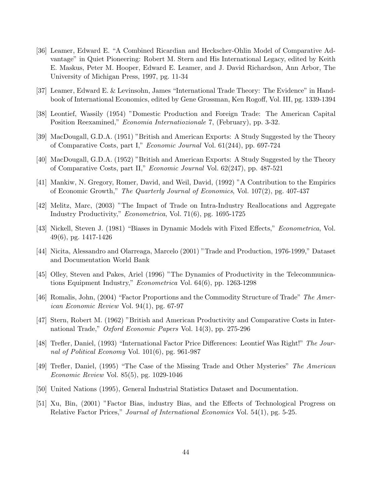- [36] Leamer, Edward E. "A Combined Ricardian and Heckscher-Ohlin Model of Comparative Advantage" in Quiet Pioneering: Robert M. Stern and His International Legacy, edited by Keith E. Maskus, Peter M. Hooper, Edward E. Leamer, and J. David Richardson, Ann Arbor, The University of Michigan Press, 1997, pg. 11-34
- [37] Leamer, Edward E. & Levinsohn, James "International Trade Theory: The Evidence" in Handbook of International Economics, edited by Gene Grossman, Ken Rogoff, Vol. III, pg. 1339-1394
- [38] Leontief, Wassily (1954) "Domestic Production and Foreign Trade: The American Capital Position Reexamined," Economia Internatiozionale 7, (February), pp. 3-32.
- [39] MacDougall, G.D.A. (1951) "British and American Exports: A Study Suggested by the Theory of Comparative Costs, part I," Economic Journal Vol. 61(244), pp. 697-724
- [40] MacDougall, G.D.A. (1952) "British and American Exports: A Study Suggested by the Theory of Comparative Costs, part II," Economic Journal Vol. 62(247), pp. 487-521
- [41] Mankiw, N. Gregory, Romer, David, and Weil, David, (1992) "A Contribution to the Empirics of Economic Growth," The Quarterly Journal of Economics, Vol. 107(2), pg. 407-437
- [42] Melitz, Marc, (2003) "The Impact of Trade on Intra-Industry Reallocations and Aggregate Industry Productivity," Econometrica, Vol. 71(6), pg. 1695-1725
- [43] Nickell, Steven J. (1981) "Biases in Dynamic Models with Fixed Effects," Econometrica, Vol. 49(6), pg. 1417-1426
- [44] Nicita, Alessandro and Olarreaga, Marcelo (2001) "Trade and Production, 1976-1999," Dataset and Documentation World Bank
- [45] Olley, Steven and Pakes, Ariel (1996) "The Dynamics of Productivity in the Telecommunications Equipment Industry," Econometrica Vol. 64(6), pp. 1263-1298
- [46] Romalis, John, (2004) "Factor Proportions and the Commodity Structure of Trade" The American Economic Review Vol. 94(1), pg. 67-97
- [47] Stern, Robert M. (1962) "British and American Productivity and Comparative Costs in International Trade," *Oxford Economic Papers* Vol. 14(3), pp. 275-296
- [48] Trefler, Daniel, (1993) "International Factor Price Differences: Leontief Was Right!" The Journal of Political Economy Vol. 101(6), pg. 961-987
- [49] Trefler, Daniel, (1995) "The Case of the Missing Trade and Other Mysteries" The American Economic Review Vol. 85(5), pg. 1029-1046
- [50] United Nations (1995), General Industrial Statistics Dataset and Documentation.
- [51] Xu, Bin, (2001) "Factor Bias, industry Bias, and the Effects of Technological Progress on Relative Factor Prices," Journal of International Economics Vol. 54(1), pg. 5-25.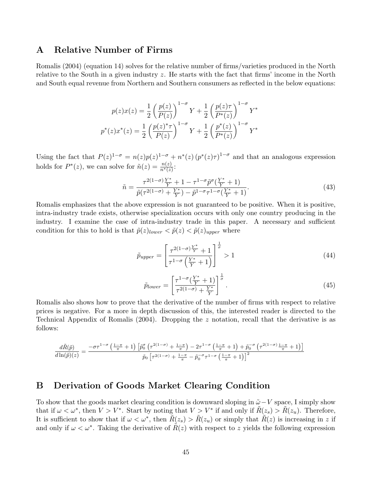### A Relative Number of Firms

Romalis (2004) (equation 14) solves for the relative number of firms/varieties produced in the North relative to the South in a given industry z. He starts with the fact that firms' income in the North and South equal revenue from Northern and Southern consumers as reflected in the below equations:

$$
p(z)x(z) = \frac{1}{2} \left(\frac{p(z)}{P(z)}\right)^{1-\sigma} Y + \frac{1}{2} \left(\frac{p(z)\tau}{P^*(z)}\right)^{1-\sigma} Y^*
$$

$$
p^*(z)x^*(z) = \frac{1}{2} \left(\frac{p(z)^*\tau}{P(z)}\right)^{1-\sigma} Y + \frac{1}{2} \left(\frac{p^*(z)}{P^*(z)}\right)^{1-\sigma} Y^*
$$

Using the fact that  $P(z)^{1-\sigma} = n(z)p(z)^{1-\sigma} + n^*(z)(p^*(z)\tau)^{1-\sigma}$  and that an analogous expression holds for  $P^*(z)$ , we can solve for  $\tilde{n}(z) = \frac{n(z)}{n^*(z)}$ :

$$
\tilde{n} = \frac{\tau^{2(1-\sigma)} \frac{Y^*}{Y} + 1 - \tau^{1-\sigma} \tilde{p}^{\sigma} (\frac{Y^*}{Y} + 1)}{\tilde{p}(\tau^{2(1-\sigma)} + \frac{Y^*}{Y}) - \tilde{p}^{1-\sigma} \tau^{1-\sigma} (\frac{Y^*}{Y} + 1)}.
$$
\n(43)

Romalis emphasizes that the above expression is not guaranteed to be positive. When it is positive, intra-industry trade exists, otherwise specialization occurs with only one country producing in the industry. I examine the case of intra-industry trade in this paper. A necessary and sufficient condition for this to hold is that  $\tilde{p}(z)_{lower} < \tilde{p}(z) < \tilde{p}(z)_{upper}$  where

$$
\tilde{p}_{upper} = \left[\frac{\tau^{2(1-\sigma)\frac{Y^*}{Y}} + 1}{\tau^{1-\sigma}\left(\frac{Y^*}{Y} + 1\right)}\right]^{\frac{1}{\sigma}} > 1\tag{44}
$$

$$
\tilde{p}_{lower} = \left[\frac{\tau^{1-\sigma}(\frac{Y^*}{Y}+1)}{\tau^{2(1-\sigma)}+\frac{Y^*}{Y}}\right]^{\frac{1}{\sigma}}.\tag{45}
$$

Romalis also shows how to prove that the derivative of the number of firms with respect to relative prices is negative. For a more in depth discussion of this, the interested reader is directed to the Technical Appendix of Romalis (2004). Dropping the z notation, recall that the derivative is as follows:

$$
\frac{d\tilde{R}(\tilde{p})}{d\ln(\tilde{p})(z)}=\frac{-\sigma\tau^{1-\sigma}\left(\frac{1-\pi}{\pi}+1\right)\left[\tilde{p}_0^{\sigma}\left(\tau^{2(1-\sigma)}+\frac{1-\pi}{\pi}\right)-2\tau^{1-\sigma}\left(\frac{1-\pi}{\pi}+1\right)+\tilde{p}_0^{-\sigma}\left(\tau^{2(1-\sigma)}\frac{1-\pi}{\pi}+1\right)\right]}{\tilde{p}_0\left[\tau^{2(1-\sigma)}+\frac{1-\pi}{\pi}-\tilde{p}_0^{-\sigma}\tau^{1-\sigma}\left(\frac{1-\pi}{\pi}+1\right)\right]^2}
$$

### B Derivation of Goods Market Clearing Condition

To show that the goods market clearing condition is downward sloping in  $\tilde{\omega} - V$  space, I simply show that if  $\omega < \omega^*$ , then  $V > V^*$ . Start by noting that  $V > V^*$  if and only if  $\tilde{R}(z_s) > \tilde{R}(z_u)$ . Therefore, It is sufficient to show that if  $\omega < \omega^*$ , then  $\tilde{R}(z_s) > \tilde{R}(z_u)$  or simply that  $\tilde{R}(z)$  is increasing in z if and only if  $\omega < \omega^*$ . Taking the derivative of  $R(z)$  with respect to z yields the following expression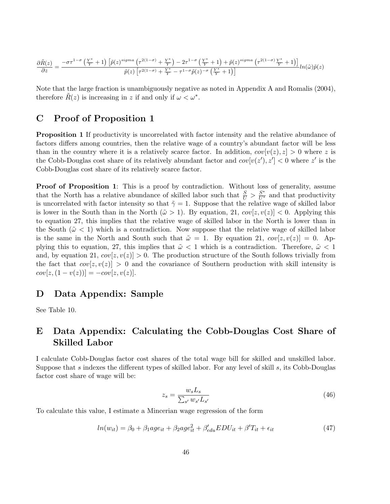$$
\frac{\partial \tilde{R}(z)}{\partial z} = \frac{-\sigma \tau^{1-\sigma} \left(\frac{Y^*}{Y}+1\right) \left[\tilde{p}(z)^{sigma} \left(\tau^{2(1-\sigma)}+\frac{Y^*}{Y}\right)-2\tau^{1-\sigma} \left(\frac{Y^*}{Y}+1\right)+\tilde{p}(z)^{sigma} \left(\tau^{2(1-\sigma)}\frac{Y^*}{Y}+1\right)\right]}{\tilde{p}(z) \left[\tau^{2(1-\sigma)}+\frac{Y^*}{Y}-\tau^{1-\sigma} \tilde{p}(z)^{-\sigma} \left(\frac{Y^*}{Y}+1\right)\right]} ln(\tilde{\omega}) \tilde{p}(z)
$$

Note that the large fraction is unambiguously negative as noted in Appendix A and Romalis (2004), therefore  $\tilde{R}(z)$  is increasing in z if and only if  $\omega < \omega^*$ .

### C Proof of Proposition 1

Proposition 1 If productivity is uncorrelated with factor intensity and the relative abundance of factors differs among countries, then the relative wage of a country's abundant factor will be less than in the country where it is a relatively scarce factor. In addition,  $cov[v(z), z] > 0$  where z is the Cobb-Douglas cost share of its relatively abundant factor and  $cov[v(z'), z'] < 0$  where z' is the Cobb-Douglas cost share of its relatively scarce factor.

Proof of Proposition 1: This is a proof by contradiction. Without loss of generality, assume that the North has a relative abundance of skilled labor such that  $\frac{S}{U} > \frac{S^*}{U^*}$  and that productivity is uncorrelated with factor intensity so that  $\tilde{\gamma} = 1$ . Suppose that the relative wage of skilled labor is lower in the South than in the North  $(\tilde{\omega} > 1)$ . By equation, 21,  $cov[z, v(z)] < 0$ . Applying this to equation 27, this implies that the relative wage of skilled labor in the North is lower than in the South ( $\tilde{\omega}$  < 1) which is a contradiction. Now suppose that the relative wage of skilled labor is the same in the North and South such that  $\tilde{\omega} = 1$ . By equation 21,  $cov[z, v(z)] = 0$ . Applying this to equation, 27, this implies that  $\tilde{\omega} < 1$  which is a contradiction. Therefore,  $\tilde{\omega} < 1$ and, by equation 21,  $cov[z, v(z)] > 0$ . The production structure of the South follows trivially from the fact that  $cov[z, v(z)] > 0$  and the covariance of Southern production with skill intensity is  $cov[z,(1-v(z))] = -cov[z,v(z)].$ 

### D Data Appendix: Sample

See Table 10.

# E Data Appendix: Calculating the Cobb-Douglas Cost Share of Skilled Labor

I calculate Cobb-Douglas factor cost shares of the total wage bill for skilled and unskilled labor. Suppose that s indexes the different types of skilled labor. For any level of skill s, its Cobb-Douglas factor cost share of wage will be:

$$
z_s = \frac{w_s L_s}{\sum_{s'} w_{s'} L_{s'}}\tag{46}
$$

To calculate this value, I estimate a Mincerian wage regression of the form

$$
ln(w_{it}) = \beta_0 + \beta_1 age_{it} + \beta_2 age_{it}^2 + \beta'_{edu} EDU_{it} + \beta' T_{it} + \epsilon_{it}
$$
\n
$$
\tag{47}
$$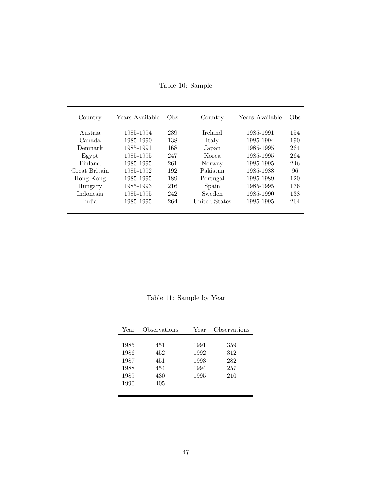| Table 10: Sample |
|------------------|
|                  |

| Country          | Years Available | Obs | Country       | Years Available | Obs |
|------------------|-----------------|-----|---------------|-----------------|-----|
|                  |                 |     |               |                 |     |
| Austria          | 1985-1994       | 239 | Ireland       | 1985-1991       | 154 |
| Canada           | 1985-1990       | 138 | Italy         | 1985-1994       | 190 |
| Denmark          | 1985-1991       | 168 | Japan         | 1985-1995       | 264 |
| Egypt            | 1985-1995       | 247 | Korea.        | 1985-1995       | 264 |
| Finland          | 1985-1995       | 261 | Norway        | 1985-1995       | 246 |
| Great Britain    | 1985-1992       | 192 | Pakistan      | 1985-1988       | 96  |
| Hong Kong        | 1985-1995       | 189 | Portugal      | 1985-1989       | 120 |
| Hungary          | 1985-1993       | 216 | Spain         | 1985-1995       | 176 |
| <i>Indonesia</i> | 1985-1995       | 242 | Sweden        | 1985-1990       | 138 |
| India.           | 1985-1995       | 264 | United States | 1985-1995       | 264 |
|                  |                 |     |               |                 |     |

Table 11: Sample by Year

| 1985<br>1991<br>359<br>451<br>1992<br>1986<br>312<br>452<br>1993<br>282<br>1987<br>451 | Year | Observations | Year | Observations |
|----------------------------------------------------------------------------------------|------|--------------|------|--------------|
| 1989<br>1995<br>430<br>210<br>1990<br>405                                              | 1988 | 454          | 1994 | 257          |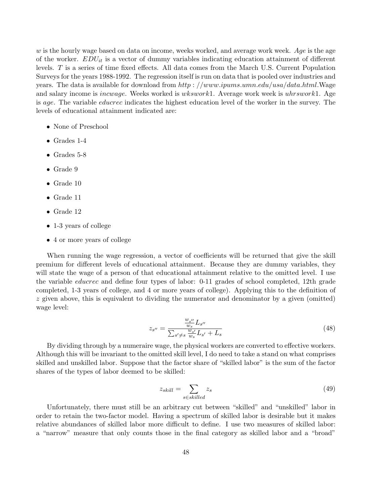$w$  is the hourly wage based on data on income, weeks worked, and average work week. Age is the age of the worker.  $EDU_{it}$  is a vector of dummy variables indicating education attainment of different levels. T is a series of time fixed effects. All data comes from the March U.S. Current Population Surveys for the years 1988-1992. The regression itself is run on data that is pooled over industries and years. The data is available for download from  $http://www.ipums.umn.edu/usa/data.html$ . Wage and salary income is *incwage*. Weeks worked is *wkswork*1. Average work week is *uhrswork*1. Age is age. The variable educrec indicates the highest education level of the worker in the survey. The levels of educational attainment indicated are:

- None of Preschool
- Grades 1-4
- Grades 5-8
- Grade 9
- Grade 10
- Grade 11
- Grade 12
- 1-3 years of college
- 4 or more years of college

When running the wage regression, a vector of coefficients will be returned that give the skill premium for different levels of educational attainment. Because they are dummy variables, they will state the wage of a person of that educational attainment relative to the omitted level. I use the variable educrec and define four types of labor: 0-11 grades of school completed, 12th grade completed, 1-3 years of college, and 4 or more years of college). Applying this to the definition of z given above, this is equivalent to dividing the numerator and denominator by a given (omitted) wage level:

$$
z_{s''} = \frac{\frac{w_{s''}}{w_s} L_{s''}}{\sum_{s' \neq s} \frac{w_{s'}}{w_s} L_{s'} + L_s}
$$
(48)

By dividing through by a numeraire wage, the physical workers are converted to effective workers. Although this will be invariant to the omitted skill level, I do need to take a stand on what comprises skilled and unskilled labor. Suppose that the factor share of "skilled labor" is the sum of the factor shares of the types of labor deemed to be skilled:

$$
z_{skill} = \sum_{s \in skilled} z_s \tag{49}
$$

Unfortunately, there must still be an arbitrary cut between "skilled" and "unskilled" labor in order to retain the two-factor model. Having a spectrum of skilled labor is desirable but it makes relative abundances of skilled labor more difficult to define. I use two measures of skilled labor: a "narrow" measure that only counts those in the final category as skilled labor and a "broad"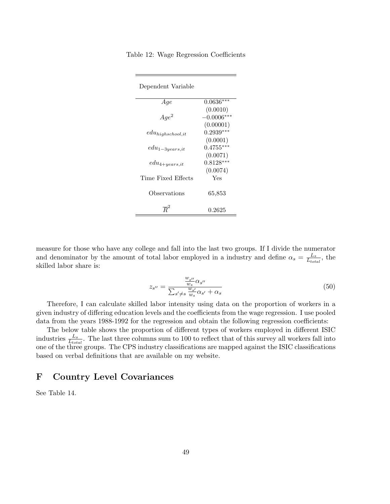| Table 12: Wage Regression Coefficients |  |  |  |
|----------------------------------------|--|--|--|
|----------------------------------------|--|--|--|

| Dependent Variable      |              |  |  |  |
|-------------------------|--------------|--|--|--|
| Aqe                     | $0.0636***$  |  |  |  |
|                         | (0.0010)     |  |  |  |
| $Age^2$                 | $-0.0006***$ |  |  |  |
|                         | (0.00001)    |  |  |  |
| $_{eduhigh school, it}$ | $0.2939***$  |  |  |  |
|                         | (0.0001)     |  |  |  |
| $_{edu_{1-3 years, it}$ | $0.4755***$  |  |  |  |
|                         | (0.0071)     |  |  |  |
| $_{edu_{4+years, it}$   | $0.8128***$  |  |  |  |
|                         | (0.0074)     |  |  |  |
| Time Fixed Effects      | Yes          |  |  |  |
|                         |              |  |  |  |
| Observations            | 65.853       |  |  |  |
|                         |              |  |  |  |
|                         | 0.2625       |  |  |  |

measure for those who have any college and fall into the last two groups. If I divide the numerator and denominator by the amount of total labor employed in a industry and define  $\alpha_s = \frac{L_s}{L_{tot}}$  $\frac{L_s}{L_{total}}$ , the skilled labor share is:

$$
z_{s^{\prime\prime}} = \frac{\frac{w_{s^{\prime\prime}}}{w_s} \alpha_{s^{\prime\prime}}}{\sum_{s^{\prime} \neq s} \frac{w_{s^{\prime}}}{w_s} \alpha_{s^{\prime}} + \alpha_s}
$$
(50)

Therefore, I can calculate skilled labor intensity using data on the proportion of workers in a given industry of differing education levels and the coefficients from the wage regression. I use pooled data from the years 1988-1992 for the regression and obtain the following regression coefficients:

The below table shows the proportion of different types of workers employed in different ISIC industries  $\frac{L_s}{L_{total}}$ . The last three columns sum to 100 to reflect that of this survey all workers fall into one of the three groups. The CPS industry classifications are mapped against the ISIC classifications based on verbal definitions that are available on my website.

### F Country Level Covariances

See Table 14.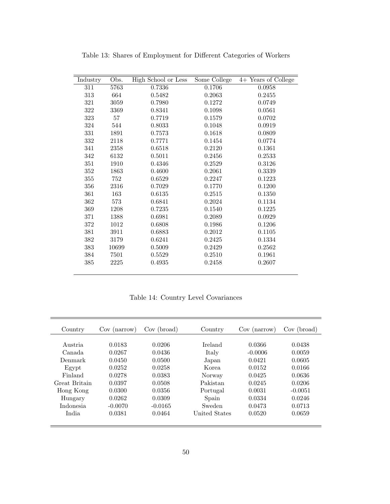| Industry | Obs.  | High School or Less | Some College | 4+ Years of College |
|----------|-------|---------------------|--------------|---------------------|
| 311      | 5763  | 0.7336              | 0.1706       | 0.0958              |
| 313      | 664   | 0.5482              | 0.2063       | 0.2455              |
| 321      | 3059  | 0.7980              | 0.1272       | 0.0749              |
| 322      | 3369  | 0.8341              | 0.1098       | 0.0561              |
| 323      | 57    | 0.7719              | 0.1579       | 0.0702              |
| 324      | 544   | 0.8033              | 0.1048       | 0.0919              |
| 331      | 1891  | 0.7573              | 0.1618       | 0.0809              |
| 332      | 2118  | 0.7771              | 0.1454       | 0.0774              |
| 341      | 2358  | 0.6518              | 0.2120       | 0.1361              |
| 342      | 6132  | 0.5011              | 0.2456       | 0.2533              |
| 351      | 1910  | 0.4346              | 0.2529       | 0.3126              |
| 352      | 1863  | 0.4600              | 0.2061       | 0.3339              |
| 355      | 752   | 0.6529              | 0.2247       | 0.1223              |
| 356      | 2316  | 0.7029              | 0.1770       | 0.1200              |
| 361      | 163   | 0.6135              | 0.2515       | $0.1350\,$          |
| 362      | 573   | 0.6841              | 0.2024       | 0.1134              |
| 369      | 1208  | 0.7235              | 0.1540       | 0.1225              |
| 371      | 1388  | 0.6981              | 0.2089       | 0.0929              |
| 372      | 1012  | 0.6808              | 0.1986       | 0.1206              |
| $381\,$  | 3911  | 0.6883              | 0.2012       | 0.1105              |
| 382      | 3179  | 0.6241              | 0.2425       | 0.1334              |
| 383      | 10699 | 0.5009              | 0.2429       | 0.2562              |
| 384      | 7501  | 0.5529              | 0.2510       | 0.1961              |
| 385      | 2225  | 0.4935              | 0.2458       | 0.2607              |

Table 13: Shares of Employment for Different Categories of Workers

Table 14: Country Level Covariances

| Country       | Cov (narrow) | Cov (broad) | Country        | Cov (narrow) | Cov<br>(broad) |
|---------------|--------------|-------------|----------------|--------------|----------------|
|               |              |             |                |              |                |
| Austria.      | 0.0183       | 0.0206      | <b>Ireland</b> | 0.0366       | 0.0438         |
| Canada.       | 0.0267       | 0.0436      | Italy          | $-0.0006$    | 0.0059         |
| Denmark       | 0.0450       | 0.0500      | Japan          | 0.0421       | 0.0605         |
| Egypt         | 0.0252       | 0.0258      | Korea          | 0.0152       | 0.0166         |
| Finland       | 0.0278       | 0.0383      | Norway         | 0.0425       | 0.0636         |
| Great Britain | 0.0397       | 0.0508      | Pakistan       | 0.0245       | 0.0206         |
| Hong Kong     | 0.0300       | 0.0356      | Portugal       | 0.0031       | $-0.0051$      |
| Hungary       | 0.0262       | 0.0309      | Spain          | 0.0334       | 0.0246         |
| Indonesia     | $-0.0070$    | $-0.0165$   | Sweden         | 0.0473       | 0.0713         |
| India         | 0.0381       | 0.0464      | United States  | 0.0520       | 0.0659         |
|               |              |             |                |              |                |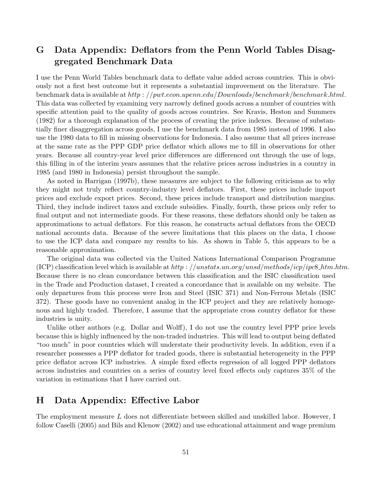# G Data Appendix: Deflators from the Penn World Tables Disaggregated Benchmark Data

I use the Penn World Tables benchmark data to deflate value added across countries. This is obviously not a first best outcome but it represents a substantial improvement on the literature. The benchmark data is available at http : //pwt.econ.upenn.edu/Downloads/benchmark/benchmark.html. This data was collected by examining very narrowly defined goods across a number of countries with specific attention paid to the quality of goods across countries. See Kravis, Heston and Summers (1982) for a thorough explanation of the process of creating the price indexes. Because of substantially finer disaggregation across goods, I use the benchmark data from 1985 instead of 1996. I also use the 1980 data to fill in missing observations for Indonesia. I also assume that all prices increase at the same rate as the PPP GDP price deflator which allows me to fill in observations for other years. Because all country-year level price differences are differenced out through the use of logs, this filling in of the interim years assumes that the relative prices across industries in a country in 1985 (and 1980 in Indonesia) persist throughout the sample.

As noted in Harrigan (1997b), these measures are subject to the following criticisms as to why they might not truly reflect country-industry level deflators. First, these prices include import prices and exclude export prices. Second, these prices include transport and distribution margins. Third, they include indirect taxes and exclude subsidies. Finally, fourth, these prices only refer to final output and not intermediate goods. For these reasons, these deflators should only be taken as approximations to actual deflators. For this reason, he constructs actual deflators from the OECD national accounts data. Because of the severe limitations that this places on the data, I choose to use the ICP data and compare my results to his. As shown in Table 5, this appears to be a reasonable approximation.

The original data was collected via the United Nations International Comparison Programme (ICP) classification level which is available at  $http://unstats.un.org/unsd/methods/icp/ipe8.htm.htm$ . Because there is no clean concordance between this classification and the ISIC classification used in the Trade and Production dataset, I created a concordance that is available on my website. The only departures from this process were Iron and Steel (ISIC 371) and Non-Ferrous Metals (ISIC 372). These goods have no convenient analog in the ICP project and they are relatively homogenous and highly traded. Therefore, I assume that the appropriate cross country deflator for these industries is unity.

Unlike other authors (e.g. Dollar and Wolff), I do not use the country level PPP price levels because this is highly influenced by the non-traded industries. This will lead to output being deflated "too much" in poor countries which will understate their productivity levels. In addition, even if a researcher possesses a PPP deflator for traded goods, there is substantial heterogeneity in the PPP price deflator across ICP industries. A simple fixed effects regression of all logged PPP deflators across industries and countries on a series of country level fixed effects only captures 35% of the variation in estimations that I have carried out.

### H Data Appendix: Effective Labor

The employment measure L does not differentiate between skilled and unskilled labor. However, I follow Caselli (2005) and Bils and Klenow (2002) and use educational attainment and wage premium